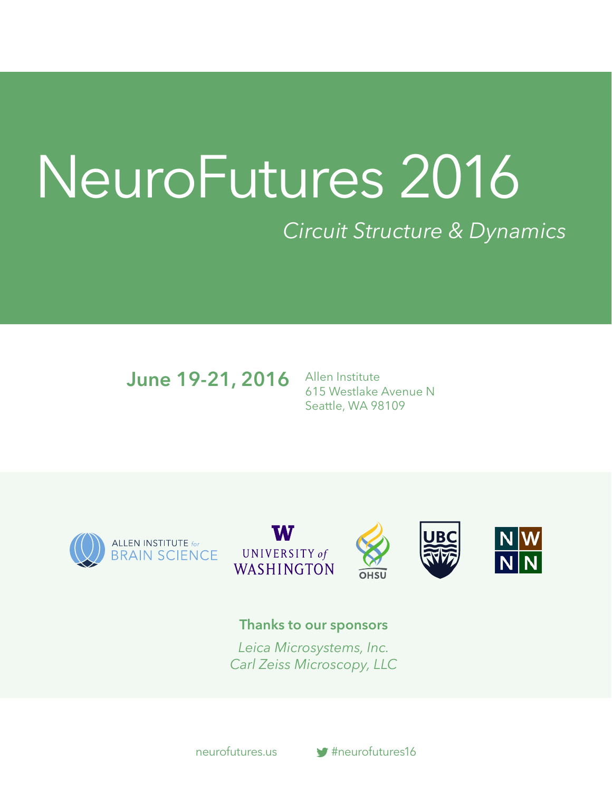# NeuroFutures 2016 *Circuit Structure & Dynamics*

June 19-21, 2016

Allen Institute 615 Westlake Avenue N Seattle, WA 98109









Thanks to our sponsors

*Leica Microsystems, Inc. Carl Zeiss Microscopy, LLC*



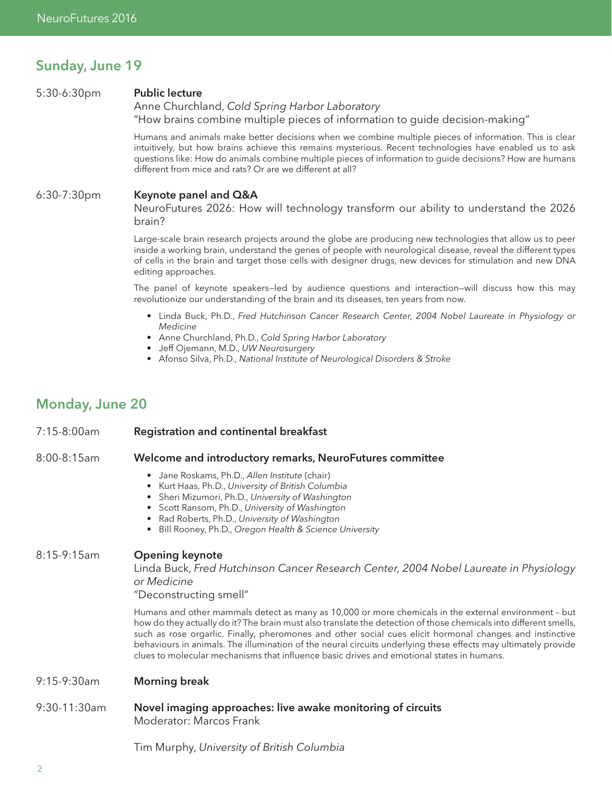## Sunday, June 19

#### 5:30-6:30pm Public lecture

Anne Churchland, *Cold Spring Harbor Laboratory* "How brains combine multiple pieces of information to guide decision-making"

Humans and animals make better decisions when we combine multiple pieces of information. This is clear intuitively, but how brains achieve this remains mysterious. Recent technologies have enabled us to ask questions like: How do animals combine multiple pieces of information to guide decisions? How are humans different from mice and rats? Or are we different at all?

#### 6:30-7:30pm Keynote panel and Q&A

NeuroFutures 2026: How will technology transform our ability to understand the 2026 brain?

Large-scale brain research projects around the globe are producing new technologies that allow us to peer inside a working brain, understand the genes of people with neurological disease, reveal the different types of cells in the brain and target those cells with designer drugs, new devices for stimulation and new DNA editing approaches.

The panel of keynote speakers—led by audience questions and interaction—will discuss how this may revolutionize our understanding of the brain and its diseases, ten years from now.

- Linda Buck, Ph.D., *Fred Hutchinson Cancer Research Center, 2004 Nobel Laureate in Physiology or Medicine*
- Anne Churchland, Ph.D., *Cold Spring Harbor Laboratory*
- Jeff Ojemann, M.D., *UW Neurosurgery*
- Afonso Silva, Ph.D., *National Institute of Neurological Disorders & Stroke*

# Monday, June 20

#### 7:15-8:00am Registration and continental breakfast

#### 8:00-8:15am Welcome and introductory remarks, NeuroFutures committee

- Jane Roskams, Ph.D., *Allen Institute* (chair)
- Kurt Haas, Ph.D., *University of British Columbia*
- Sheri Mizumori, Ph.D., *University of Washington*
- Scott Ransom, Ph.D., *University of Washington*
- Rad Roberts, Ph.D., *University of Washington*
- Bill Rooney, Ph.D., *Oregon Health & Science University*

#### 8:15-9:15am Opening keynote

Linda Buck, *Fred Hutchinson Cancer Research Center, 2004 Nobel Laureate in Physiology or Medicine* 

"Deconstructing smell"

Humans and other mammals detect as many as 10,000 or more chemicals in the external environment – but how do they actually do it? The brain must also translate the detection of those chemicals into different smells, such as rose orgarlic. Finally, pheromones and other social cues elicit hormonal changes and instinctive behaviours in animals. The illumination of the neural circuits underlying these effects may ultimately provide clues to molecular mechanisms that influence basic drives and emotional states in humans.

9:15-9:30am Morning break

#### 9:30-11:30am Novel imaging approaches: live awake monitoring of circuits Moderator: Marcos Frank

Tim Murphy, *University of British Columbia*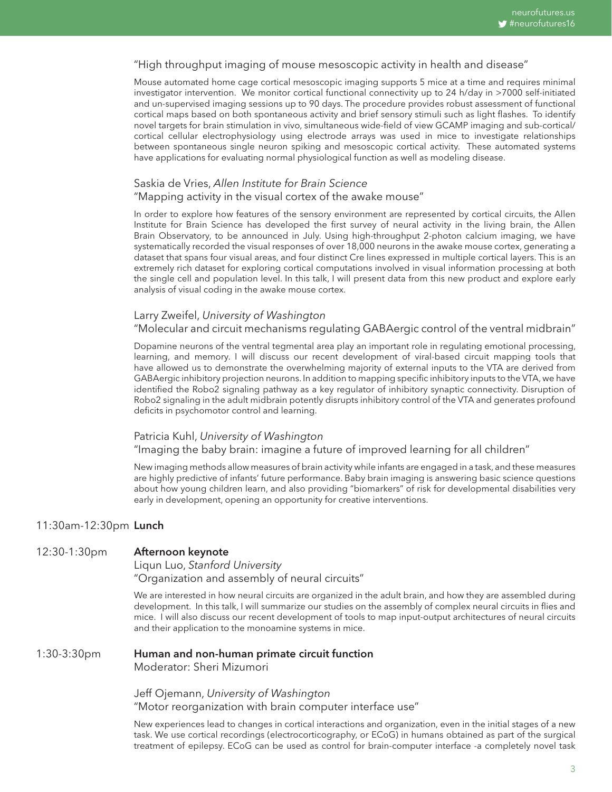#### "High throughput imaging of mouse mesoscopic activity in health and disease"

Mouse automated home cage cortical mesoscopic imaging supports 5 mice at a time and requires minimal investigator intervention. We monitor cortical functional connectivity up to 24 h/day in >7000 self-initiated and un-supervised imaging sessions up to 90 days. The procedure provides robust assessment of functional cortical maps based on both spontaneous activity and brief sensory stimuli such as light flashes. To identify novel targets for brain stimulation in vivo, simultaneous wide-field of view GCAMP imaging and sub-cortical/ cortical cellular electrophysiology using electrode arrays was used in mice to investigate relationships between spontaneous single neuron spiking and mesoscopic cortical activity. These automated systems have applications for evaluating normal physiological function as well as modeling disease.

## Saskia de Vries, *Allen Institute for Brain Science*

#### "Mapping activity in the visual cortex of the awake mouse"

In order to explore how features of the sensory environment are represented by cortical circuits, the Allen Institute for Brain Science has developed the first survey of neural activity in the living brain, the Allen Brain Observatory, to be announced in July. Using high-throughput 2-photon calcium imaging, we have systematically recorded the visual responses of over 18,000 neurons in the awake mouse cortex, generating a dataset that spans four visual areas, and four distinct Cre lines expressed in multiple cortical layers. This is an extremely rich dataset for exploring cortical computations involved in visual information processing at both the single cell and population level. In this talk, I will present data from this new product and explore early analysis of visual coding in the awake mouse cortex.

#### Larry Zweifel, *University of Washington*

#### "Molecular and circuit mechanisms regulating GABAergic control of the ventral midbrain"

Dopamine neurons of the ventral tegmental area play an important role in regulating emotional processing, learning, and memory. I will discuss our recent development of viral-based circuit mapping tools that have allowed us to demonstrate the overwhelming majority of external inputs to the VTA are derived from GABAergic inhibitory projection neurons. In addition to mapping specific inhibitory inputs to the VTA, we have identified the Robo2 signaling pathway as a key regulator of inhibitory synaptic connectivity. Disruption of Robo2 signaling in the adult midbrain potently disrupts inhibitory control of the VTA and generates profound deficits in psychomotor control and learning.

#### Patricia Kuhl, *University of Washington*  "Imaging the baby brain: imagine a future of improved learning for all children"

New imaging methods allow measures of brain activity while infants are engaged in a task, and these measures are highly predictive of infants' future performance. Baby brain imaging is answering basic science questions about how young children learn, and also providing "biomarkers" of risk for developmental disabilities very early in development, opening an opportunity for creative interventions.

#### 11:30am-12:30pm Lunch

#### 12:30-1:30pm Afternoon keynote

Liqun Luo, *Stanford University*  "Organization and assembly of neural circuits"

We are interested in how neural circuits are organized in the adult brain, and how they are assembled during development. In this talk, I will summarize our studies on the assembly of complex neural circuits in flies and mice. I will also discuss our recent development of tools to map input-output architectures of neural circuits and their application to the monoamine systems in mice.

#### 1:30-3:30pm Human and non-human primate circuit function Moderator: Sheri Mizumori

Jeff Ojemann, *University of Washington* "Motor reorganization with brain computer interface use"

New experiences lead to changes in cortical interactions and organization, even in the initial stages of a new task. We use cortical recordings (electrocorticography, or ECoG) in humans obtained as part of the surgical treatment of epilepsy. ECoG can be used as control for brain-computer interface -a completely novel task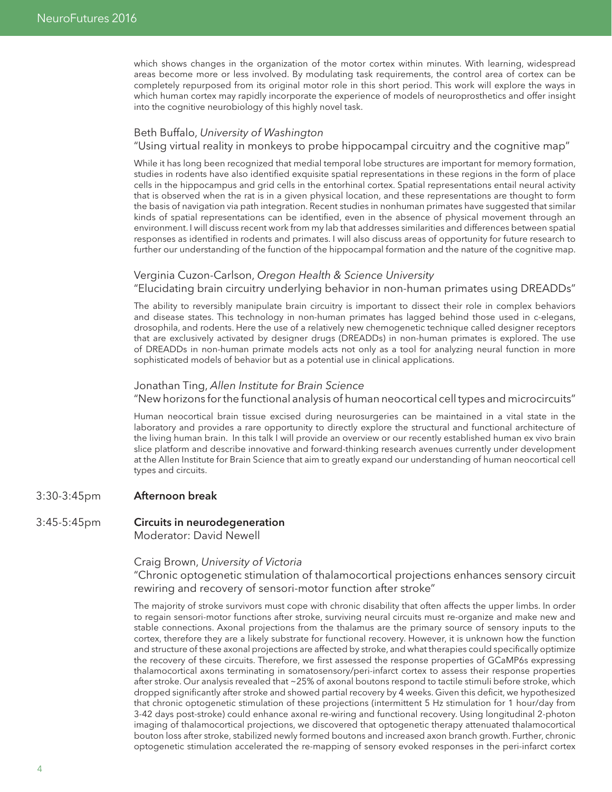which shows changes in the organization of the motor cortex within minutes. With learning, widespread areas become more or less involved. By modulating task requirements, the control area of cortex can be completely repurposed from its original motor role in this short period. This work will explore the ways in which human cortex may rapidly incorporate the experience of models of neuroprosthetics and offer insight into the cognitive neurobiology of this highly novel task.

#### Beth Buffalo, *University of Washington*

"Using virtual reality in monkeys to probe hippocampal circuitry and the cognitive map"

While it has long been recognized that medial temporal lobe structures are important for memory formation, studies in rodents have also identified exquisite spatial representations in these regions in the form of place cells in the hippocampus and grid cells in the entorhinal cortex. Spatial representations entail neural activity that is observed when the rat is in a given physical location, and these representations are thought to form the basis of navigation via path integration. Recent studies in nonhuman primates have suggested that similar kinds of spatial representations can be identified, even in the absence of physical movement through an environment. I will discuss recent work from my lab that addresses similarities and differences between spatial responses as identified in rodents and primates. I will also discuss areas of opportunity for future research to further our understanding of the function of the hippocampal formation and the nature of the cognitive map.

#### Verginia Cuzon-Carlson, *Oregon Health & Science University*

"Elucidating brain circuitry underlying behavior in non-human primates using DREADDs"

The ability to reversibly manipulate brain circuitry is important to dissect their role in complex behaviors and disease states. This technology in non-human primates has lagged behind those used in c-elegans, drosophila, and rodents. Here the use of a relatively new chemogenetic technique called designer receptors that are exclusively activated by designer drugs (DREADDs) in non-human primates is explored. The use of DREADDs in non-human primate models acts not only as a tool for analyzing neural function in more sophisticated models of behavior but as a potential use in clinical applications.

#### Jonathan Ting, *Allen Institute for Brain Science*

"New horizons for the functional analysis of human neocortical cell types and microcircuits"

Human neocortical brain tissue excised during neurosurgeries can be maintained in a vital state in the laboratory and provides a rare opportunity to directly explore the structural and functional architecture of the living human brain. In this talk I will provide an overview or our recently established human ex vivo brain slice platform and describe innovative and forward-thinking research avenues currently under development at the Allen Institute for Brain Science that aim to greatly expand our understanding of human neocortical cell types and circuits.

- 3:30-3:45pm Afternoon break
- 3:45-5:45pm **Circuits in neurodegeneration** Moderator: David Newell

#### Craig Brown, *University of Victoria*

"Chronic optogenetic stimulation of thalamocortical projections enhances sensory circuit rewiring and recovery of sensori-motor function after stroke"

The majority of stroke survivors must cope with chronic disability that often affects the upper limbs. In order to regain sensori-motor functions after stroke, surviving neural circuits must re-organize and make new and stable connections. Axonal projections from the thalamus are the primary source of sensory inputs to the cortex, therefore they are a likely substrate for functional recovery. However, it is unknown how the function and structure of these axonal projections are affected by stroke, and what therapies could specifically optimize the recovery of these circuits. Therefore, we first assessed the response properties of GCaMP6s expressing thalamocortical axons terminating in somatosensory/peri-infarct cortex to assess their response properties after stroke. Our analysis revealed that ~25% of axonal boutons respond to tactile stimuli before stroke, which dropped significantly after stroke and showed partial recovery by 4 weeks. Given this deficit, we hypothesized that chronic optogenetic stimulation of these projections (intermittent 5 Hz stimulation for 1 hour/day from 3-42 days post-stroke) could enhance axonal re-wiring and functional recovery. Using longitudinal 2-photon imaging of thalamocortical projections, we discovered that optogenetic therapy attenuated thalamocortical bouton loss after stroke, stabilized newly formed boutons and increased axon branch growth. Further, chronic optogenetic stimulation accelerated the re-mapping of sensory evoked responses in the peri-infarct cortex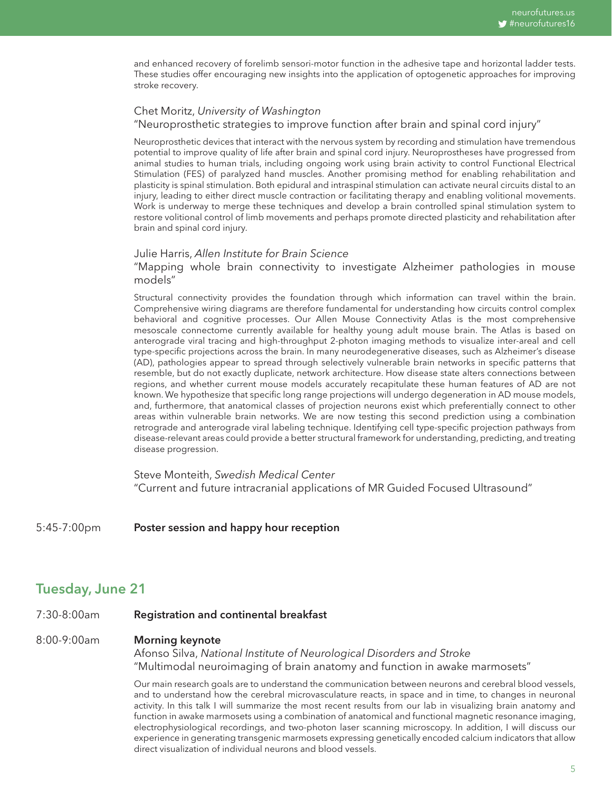and enhanced recovery of forelimb sensori-motor function in the adhesive tape and horizontal ladder tests. These studies offer encouraging new insights into the application of optogenetic approaches for improving stroke recovery.

# Chet Moritz, *University of Washington*

"Neuroprosthetic strategies to improve function after brain and spinal cord injury"

Neuroprosthetic devices that interact with the nervous system by recording and stimulation have tremendous potential to improve quality of life after brain and spinal cord injury. Neuroprostheses have progressed from animal studies to human trials, including ongoing work using brain activity to control Functional Electrical Stimulation (FES) of paralyzed hand muscles. Another promising method for enabling rehabilitation and plasticity is spinal stimulation. Both epidural and intraspinal stimulation can activate neural circuits distal to an injury, leading to either direct muscle contraction or facilitating therapy and enabling volitional movements. Work is underway to merge these techniques and develop a brain controlled spinal stimulation system to restore volitional control of limb movements and perhaps promote directed plasticity and rehabilitation after brain and spinal cord injury.

#### Julie Harris, *Allen Institute for Brain Science*

"Mapping whole brain connectivity to investigate Alzheimer pathologies in mouse models"

Structural connectivity provides the foundation through which information can travel within the brain. Comprehensive wiring diagrams are therefore fundamental for understanding how circuits control complex behavioral and cognitive processes. Our Allen Mouse Connectivity Atlas is the most comprehensive mesoscale connectome currently available for healthy young adult mouse brain. The Atlas is based on anterograde viral tracing and high-throughput 2-photon imaging methods to visualize inter-areal and cell type-specific projections across the brain. In many neurodegenerative diseases, such as Alzheimer's disease (AD), pathologies appear to spread through selectively vulnerable brain networks in specific patterns that resemble, but do not exactly duplicate, network architecture. How disease state alters connections between regions, and whether current mouse models accurately recapitulate these human features of AD are not known. We hypothesize that specific long range projections will undergo degeneration in AD mouse models, and, furthermore, that anatomical classes of projection neurons exist which preferentially connect to other areas within vulnerable brain networks. We are now testing this second prediction using a combination retrograde and anterograde viral labeling technique. Identifying cell type-specific projection pathways from disease-relevant areas could provide a better structural framework for understanding, predicting, and treating disease progression.

Steve Monteith, *Swedish Medical Center*  "Current and future intracranial applications of MR Guided Focused Ultrasound"

5:45-7:00pm Poster session and happy hour reception

# Tuesday, June 21

7:30-8:00am **Registration and continental breakfast** 

#### 8:00-9:00am Morning keynote

Afonso Silva, *National Institute of Neurological Disorders and Stroke*  "Multimodal neuroimaging of brain anatomy and function in awake marmosets"

Our main research goals are to understand the communication between neurons and cerebral blood vessels, and to understand how the cerebral microvasculature reacts, in space and in time, to changes in neuronal activity. In this talk I will summarize the most recent results from our lab in visualizing brain anatomy and function in awake marmosets using a combination of anatomical and functional magnetic resonance imaging, electrophysiological recordings, and two-photon laser scanning microscopy. In addition, I will discuss our experience in generating transgenic marmosets expressing genetically encoded calcium indicators that allow direct visualization of individual neurons and blood vessels.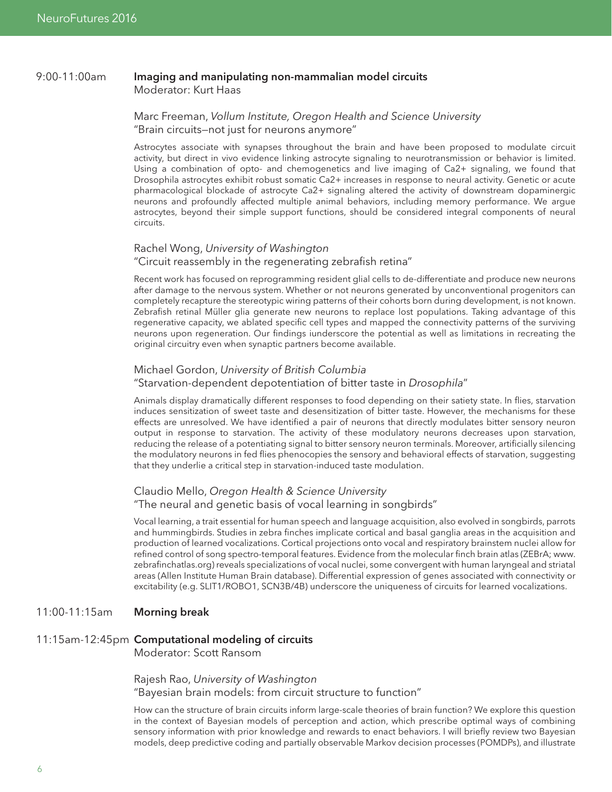#### 9:00-11:00am Imaging and manipulating non-mammalian model circuits Moderator: Kurt Haas

#### Marc Freeman, *Vollum Institute, Oregon Health and Science University* "Brain circuits—not just for neurons anymore"

Astrocytes associate with synapses throughout the brain and have been proposed to modulate circuit activity, but direct in vivo evidence linking astrocyte signaling to neurotransmission or behavior is limited. Using a combination of opto- and chemogenetics and live imaging of Ca2+ signaling, we found that Drosophila astrocytes exhibit robust somatic Ca2+ increases in response to neural activity. Genetic or acute pharmacological blockade of astrocyte Ca2+ signaling altered the activity of downstream dopaminergic neurons and profoundly affected multiple animal behaviors, including memory performance. We argue astrocytes, beyond their simple support functions, should be considered integral components of neural circuits.

#### Rachel Wong, *University of Washington*

#### "Circuit reassembly in the regenerating zebrafish retina"

Recent work has focused on reprogramming resident glial cells to de-differentiate and produce new neurons after damage to the nervous system. Whether or not neurons generated by unconventional progenitors can completely recapture the stereotypic wiring patterns of their cohorts born during development, is not known. Zebrafish retinal Müller glia generate new neurons to replace lost populations. Taking advantage of this regenerative capacity, we ablated specific cell types and mapped the connectivity patterns of the surviving neurons upon regeneration. Our findings iunderscore the potential as well as limitations in recreating the original circuitry even when synaptic partners become available.

#### Michael Gordon, *University of British Columbia*

#### "Starvation-dependent depotentiation of bitter taste in *Drosophila*"

Animals display dramatically different responses to food depending on their satiety state. In flies, starvation induces sensitization of sweet taste and desensitization of bitter taste. However, the mechanisms for these effects are unresolved. We have identified a pair of neurons that directly modulates bitter sensory neuron output in response to starvation. The activity of these modulatory neurons decreases upon starvation, reducing the release of a potentiating signal to bitter sensory neuron terminals. Moreover, artificially silencing the modulatory neurons in fed flies phenocopies the sensory and behavioral effects of starvation, suggesting that they underlie a critical step in starvation-induced taste modulation.

#### Claudio Mello, *Oregon Health & Science University* "The neural and genetic basis of vocal learning in songbirds"

Vocal learning, a trait essential for human speech and language acquisition, also evolved in songbirds, parrots and hummingbirds. Studies in zebra finches implicate cortical and basal ganglia areas in the acquisition and production of learned vocalizations. Cortical projections onto vocal and respiratory brainstem nuclei allow for refined control of song spectro-temporal features. Evidence from the molecular finch brain atlas (ZEBrA; www. zebrafinchatlas.org) reveals specializations of vocal nuclei, some convergent with human laryngeal and striatal areas (Allen Institute Human Brain database). Differential expression of genes associated with connectivity or excitability (e.g. SLIT1/ROBO1, SCN3B/4B) underscore the uniqueness of circuits for learned vocalizations.

#### 11:00-11:15am Morning break

#### 11:15am-12:45pm Computational modeling of circuits

Moderator: Scott Ransom

Rajesh Rao, *University of Washington* "Bayesian brain models: from circuit structure to function"

How can the structure of brain circuits inform large-scale theories of brain function? We explore this question in the context of Bayesian models of perception and action, which prescribe optimal ways of combining sensory information with prior knowledge and rewards to enact behaviors. I will briefly review two Bayesian models, deep predictive coding and partially observable Markov decision processes (POMDPs), and illustrate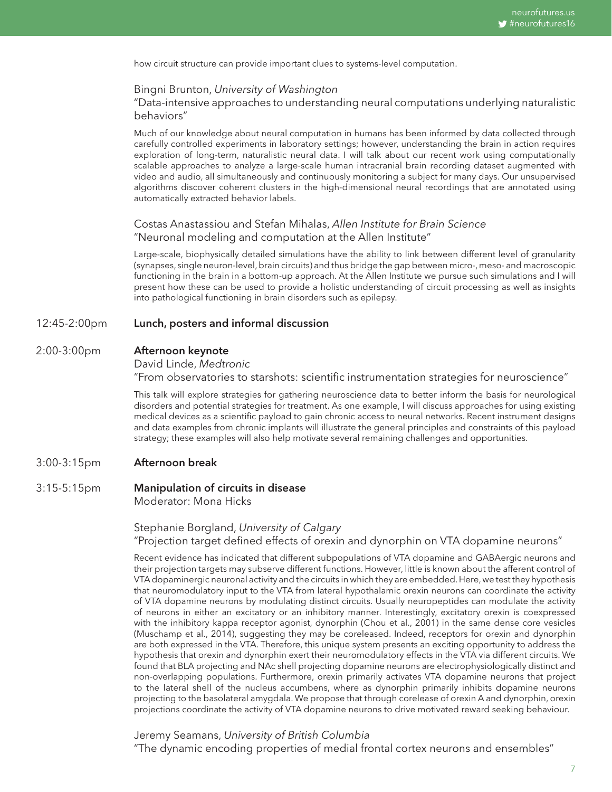how circuit structure can provide important clues to systems-level computation.

#### Bingni Brunton, *University of Washington*

"Data-intensive approaches to understanding neural computations underlying naturalistic behaviors"

Much of our knowledge about neural computation in humans has been informed by data collected through carefully controlled experiments in laboratory settings; however, understanding the brain in action requires exploration of long-term, naturalistic neural data. I will talk about our recent work using computationally scalable approaches to analyze a large-scale human intracranial brain recording dataset augmented with video and audio, all simultaneously and continuously monitoring a subject for many days. Our unsupervised algorithms discover coherent clusters in the high-dimensional neural recordings that are annotated using automatically extracted behavior labels.

#### Costas Anastassiou and Stefan Mihalas, *Allen Institute for Brain Science* "Neuronal modeling and computation at the Allen Institute"

Large-scale, biophysically detailed simulations have the ability to link between different level of granularity (synapses, single neuron-level, brain circuits) and thus bridge the gap between micro-, meso- and macroscopic functioning in the brain in a bottom-up approach. At the Allen Institute we pursue such simulations and I will present how these can be used to provide a holistic understanding of circuit processing as well as insights into pathological functioning in brain disorders such as epilepsy.

#### 12:45-2:00pm Lunch, posters and informal discussion

#### 2:00-3:00pm Afternoon keynote

David Linde, *Medtronic* 

"From observatories to starshots: scientific instrumentation strategies for neuroscience"

This talk will explore strategies for gathering neuroscience data to better inform the basis for neurological disorders and potential strategies for treatment. As one example, I will discuss approaches for using existing medical devices as a scientific payload to gain chronic access to neural networks. Recent instrument designs and data examples from chronic implants will illustrate the general principles and constraints of this payload strategy; these examples will also help motivate several remaining challenges and opportunities.

#### 3:00-3:15pm Afternoon break

#### 3:15-5:15pm Manipulation of circuits in disease Moderator: Mona Hicks

#### Stephanie Borgland, *University of Calgary* "Projection target defined effects of orexin and dynorphin on VTA dopamine neurons"

Recent evidence has indicated that different subpopulations of VTA dopamine and GABAergic neurons and their projection targets may subserve different functions. However, little is known about the afferent control of VTA dopaminergic neuronal activity and the circuits in which they are embedded. Here, we test they hypothesis that neuromodulatory input to the VTA from lateral hypothalamic orexin neurons can coordinate the activity of VTA dopamine neurons by modulating distinct circuits. Usually neuropeptides can modulate the activity of neurons in either an excitatory or an inhibitory manner. Interestingly, excitatory orexin is coexpressed with the inhibitory kappa receptor agonist, dynorphin (Chou et al., 2001) in the same dense core vesicles (Muschamp et al., 2014), suggesting they may be coreleased. Indeed, receptors for orexin and dynorphin are both expressed in the VTA. Therefore, this unique system presents an exciting opportunity to address the hypothesis that orexin and dynorphin exert their neuromodulatory effects in the VTA via different circuits. We found that BLA projecting and NAc shell projecting dopamine neurons are electrophysiologically distinct and non-overlapping populations. Furthermore, orexin primarily activates VTA dopamine neurons that project to the lateral shell of the nucleus accumbens, where as dynorphin primarily inhibits dopamine neurons projecting to the basolateral amygdala. We propose that through corelease of orexin A and dynorphin, orexin projections coordinate the activity of VTA dopamine neurons to drive motivated reward seeking behaviour.

Jeremy Seamans, *University of British Columbia* "The dynamic encoding properties of medial frontal cortex neurons and ensembles"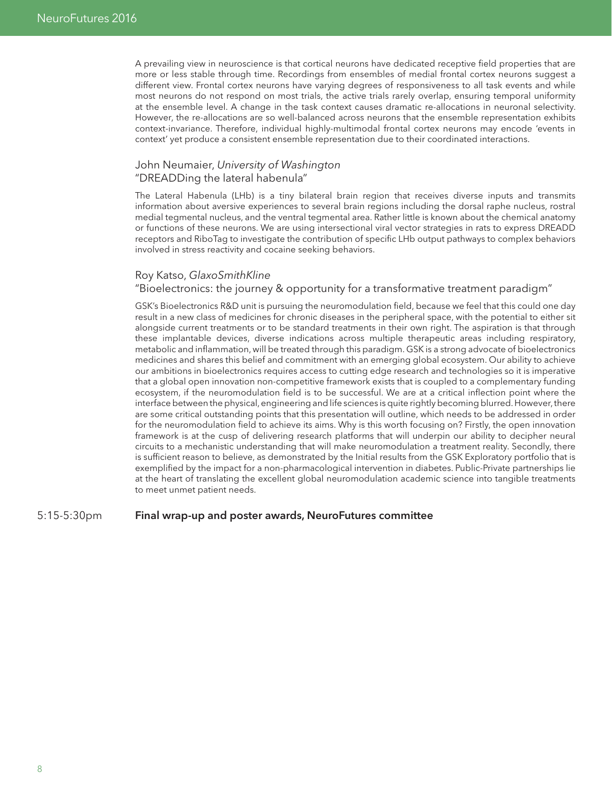A prevailing view in neuroscience is that cortical neurons have dedicated receptive field properties that are more or less stable through time. Recordings from ensembles of medial frontal cortex neurons suggest a different view. Frontal cortex neurons have varying degrees of responsiveness to all task events and while most neurons do not respond on most trials, the active trials rarely overlap, ensuring temporal uniformity at the ensemble level. A change in the task context causes dramatic re-allocations in neuronal selectivity. However, the re-allocations are so well-balanced across neurons that the ensemble representation exhibits context-invariance. Therefore, individual highly-multimodal frontal cortex neurons may encode 'events in context' yet produce a consistent ensemble representation due to their coordinated interactions.

#### John Neumaier, *University of Washington* "DREADDing the lateral habenula"

The Lateral Habenula (LHb) is a tiny bilateral brain region that receives diverse inputs and transmits information about aversive experiences to several brain regions including the dorsal raphe nucleus, rostral medial tegmental nucleus, and the ventral tegmental area. Rather little is known about the chemical anatomy or functions of these neurons. We are using intersectional viral vector strategies in rats to express DREADD receptors and RiboTag to investigate the contribution of specific LHb output pathways to complex behaviors involved in stress reactivity and cocaine seeking behaviors.

#### Roy Katso, *GlaxoSmithKline*

#### "Bioelectronics: the journey & opportunity for a transformative treatment paradigm"

GSK's Bioelectronics R&D unit is pursuing the neuromodulation field, because we feel that this could one day result in a new class of medicines for chronic diseases in the peripheral space, with the potential to either sit alongside current treatments or to be standard treatments in their own right. The aspiration is that through these implantable devices, diverse indications across multiple therapeutic areas including respiratory, metabolic and inflammation, will be treated through this paradigm. GSK is a strong advocate of bioelectronics medicines and shares this belief and commitment with an emerging global ecosystem. Our ability to achieve our ambitions in bioelectronics requires access to cutting edge research and technologies so it is imperative that a global open innovation non-competitive framework exists that is coupled to a complementary funding ecosystem, if the neuromodulation field is to be successful. We are at a critical inflection point where the interface between the physical, engineering and life sciences is quite rightly becoming blurred. However, there are some critical outstanding points that this presentation will outline, which needs to be addressed in order for the neuromodulation field to achieve its aims. Why is this worth focusing on? Firstly, the open innovation framework is at the cusp of delivering research platforms that will underpin our ability to decipher neural circuits to a mechanistic understanding that will make neuromodulation a treatment reality. Secondly, there is sufficient reason to believe, as demonstrated by the Initial results from the GSK Exploratory portfolio that is exemplified by the impact for a non-pharmacological intervention in diabetes. Public-Private partnerships lie at the heart of translating the excellent global neuromodulation academic science into tangible treatments to meet unmet patient needs.

#### 5:15-5:30pm Final wrap-up and poster awards, NeuroFutures committee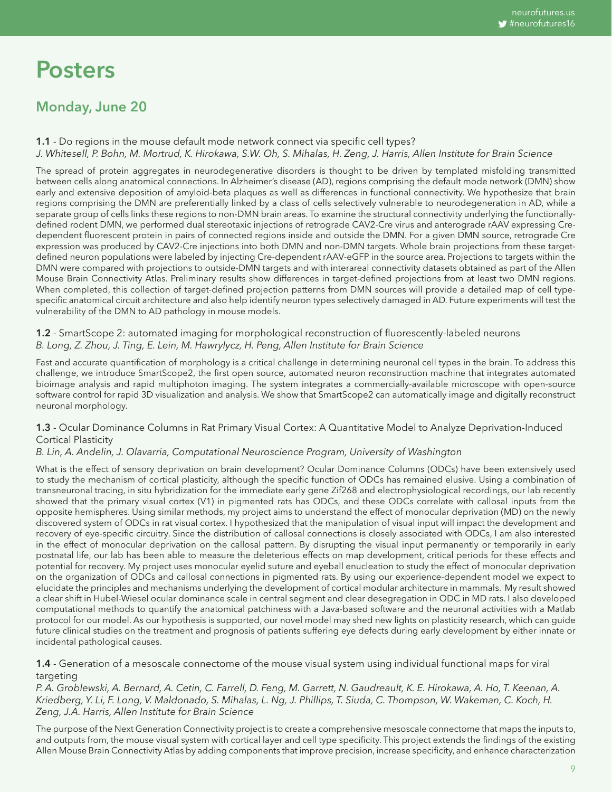# Posters

# Monday, June 20

1.1 - Do regions in the mouse default mode network connect via specific cell types? *J. Whitesell, P. Bohn, M. Mortrud, K. Hirokawa, S.W. Oh, S. Mihalas, H. Zeng, J. Harris, Allen Institute for Brain Science*

The spread of protein aggregates in neurodegenerative disorders is thought to be driven by templated misfolding transmitted between cells along anatomical connections. In Alzheimer's disease (AD), regions comprising the default mode network (DMN) show early and extensive deposition of amyloid-beta plaques as well as differences in functional connectivity. We hypothesize that brain regions comprising the DMN are preferentially linked by a class of cells selectively vulnerable to neurodegeneration in AD, while a separate group of cells links these regions to non-DMN brain areas. To examine the structural connectivity underlying the functionallydefined rodent DMN, we performed dual stereotaxic injections of retrograde CAV2-Cre virus and anterograde rAAV expressing Credependent fluorescent protein in pairs of connected regions inside and outside the DMN. For a given DMN source, retrograde Cre expression was produced by CAV2-Cre injections into both DMN and non-DMN targets. Whole brain projections from these targetdefined neuron populations were labeled by injecting Cre-dependent rAAV-eGFP in the source area. Projections to targets within the DMN were compared with projections to outside-DMN targets and with interareal connectivity datasets obtained as part of the Allen Mouse Brain Connectivity Atlas. Preliminary results show differences in target-defined projections from at least two DMN regions. When completed, this collection of target-defined projection patterns from DMN sources will provide a detailed map of cell typespecific anatomical circuit architecture and also help identify neuron types selectively damaged in AD. Future experiments will test the vulnerability of the DMN to AD pathology in mouse models.

#### 1.2 - SmartScope 2: automated imaging for morphological reconstruction of fluorescently-labeled neurons *B. Long, Z. Zhou, J. Ting, E. Lein, M. Hawrylycz, H. Peng, Allen Institute for Brain Science*

Fast and accurate quantification of morphology is a critical challenge in determining neuronal cell types in the brain. To address this challenge, we introduce SmartScope2, the first open source, automated neuron reconstruction machine that integrates automated bioimage analysis and rapid multiphoton imaging. The system integrates a commercially-available microscope with open-source software control for rapid 3D visualization and analysis. We show that SmartScope2 can automatically image and digitally reconstruct neuronal morphology.

#### 1.3 - Ocular Dominance Columns in Rat Primary Visual Cortex: A Quantitative Model to Analyze Deprivation-Induced Cortical Plasticity

#### *B. Lin, A. Andelin, J. Olavarria, Computational Neuroscience Program, University of Washington*

What is the effect of sensory deprivation on brain development? Ocular Dominance Columns (ODCs) have been extensively used to study the mechanism of cortical plasticity, although the specific function of ODCs has remained elusive. Using a combination of transneuronal tracing, in situ hybridization for the immediate early gene Zif268 and electrophysiological recordings, our lab recently showed that the primary visual cortex (V1) in pigmented rats has ODCs, and these ODCs correlate with callosal inputs from the opposite hemispheres. Using similar methods, my project aims to understand the effect of monocular deprivation (MD) on the newly discovered system of ODCs in rat visual cortex. I hypothesized that the manipulation of visual input will impact the development and recovery of eye-specific circuitry. Since the distribution of callosal connections is closely associated with ODCs, I am also interested in the effect of monocular deprivation on the callosal pattern. By disrupting the visual input permanently or temporarily in early postnatal life, our lab has been able to measure the deleterious effects on map development, critical periods for these effects and potential for recovery. My project uses monocular eyelid suture and eyeball enucleation to study the effect of monocular deprivation on the organization of ODCs and callosal connections in pigmented rats. By using our experience-dependent model we expect to elucidate the principles and mechanisms underlying the development of cortical modular architecture in mammals. My result showed a clear shift in Hubel-Wiesel ocular dominance scale in central segment and clear desegregation in ODC in MD rats. I also developed computational methods to quantify the anatomical patchiness with a Java-based software and the neuronal activities with a Matlab protocol for our model. As our hypothesis is supported, our novel model may shed new lights on plasticity research, which can guide future clinical studies on the treatment and prognosis of patients suffering eye defects during early development by either innate or incidental pathological causes.

#### 1.4 - Generation of a mesoscale connectome of the mouse visual system using individual functional maps for viral targeting

*P. A. Groblewski, A. Bernard, A. Cetin, C. Farrell, D. Feng, M. Garrett, N. Gaudreault, K. E. Hirokawa, A. Ho, T. Keenan, A. Kriedberg, Y. Li, F. Long, V. Maldonado, S. Mihalas, L. Ng, J. Phillips, T. Siuda, C. Thompson, W. Wakeman, C. Koch, H. Zeng, J.A. Harris, Allen Institute for Brain Science*

The purpose of the Next Generation Connectivity project is to create a comprehensive mesoscale connectome that maps the inputs to, and outputs from, the mouse visual system with cortical layer and cell type specificity. This project extends the findings of the existing Allen Mouse Brain Connectivity Atlas by adding components that improve precision, increase specificity, and enhance characterization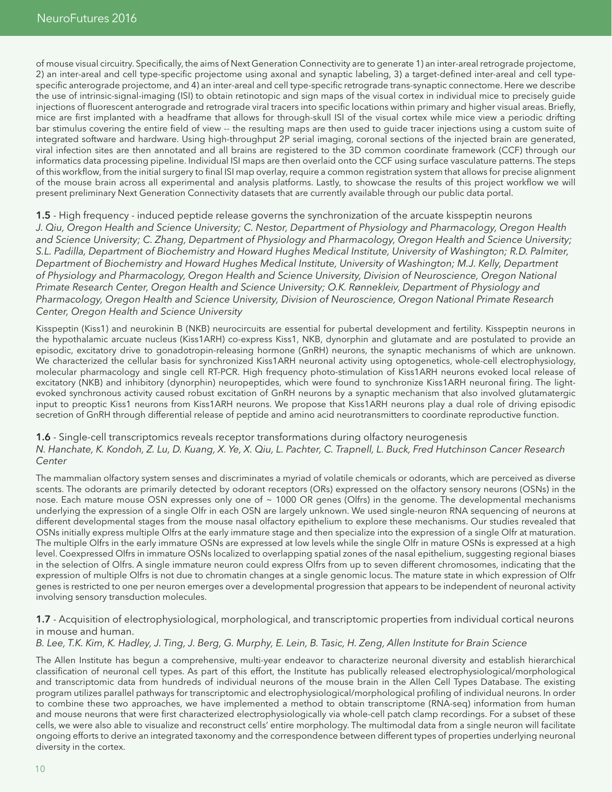of mouse visual circuitry. Specifically, the aims of Next Generation Connectivity are to generate 1) an inter-areal retrograde projectome, 2) an inter-areal and cell type-specific projectome using axonal and synaptic labeling, 3) a target-defined inter-areal and cell typespecific anterograde projectome, and 4) an inter-areal and cell type-specific retrograde trans-synaptic connectome. Here we describe the use of intrinsic-signal-imaging (ISI) to obtain retinotopic and sign maps of the visual cortex in individual mice to precisely guide injections of fluorescent anterograde and retrograde viral tracers into specific locations within primary and higher visual areas. Briefly, mice are first implanted with a headframe that allows for through-skull ISI of the visual cortex while mice view a periodic drifting bar stimulus covering the entire field of view -- the resulting maps are then used to guide tracer injections using a custom suite of integrated software and hardware. Using high-throughput 2P serial imaging, coronal sections of the injected brain are generated, viral infection sites are then annotated and all brains are registered to the 3D common coordinate framework (CCF) through our informatics data processing pipeline. Individual ISI maps are then overlaid onto the CCF using surface vasculature patterns. The steps of this workflow, from the initial surgery to final ISI map overlay, require a common registration system that allows for precise alignment of the mouse brain across all experimental and analysis platforms. Lastly, to showcase the results of this project workflow we will present preliminary Next Generation Connectivity datasets that are currently available through our public data portal.

1.5 - High frequency - induced peptide release governs the synchronization of the arcuate kisspeptin neurons *J. Qiu, Oregon Health and Science University; C. Nestor, Department of Physiology and Pharmacology, Oregon Health and Science University; C. Zhang, Department of Physiology and Pharmacology, Oregon Health and Science University; S.L. Padilla, Department of Biochemistry and Howard Hughes Medical Institute, University of Washington; R.D. Palmiter, Department of Biochemistry and Howard Hughes Medical Institute, University of Washington; M.J. Kelly, Department of Physiology and Pharmacology, Oregon Health and Science University, Division of Neuroscience, Oregon National Primate Research Center, Oregon Health and Science University; O.K. Rønnekleiv, Department of Physiology and Pharmacology, Oregon Health and Science University, Division of Neuroscience, Oregon National Primate Research Center, Oregon Health and Science University* 

Kisspeptin (Kiss1) and neurokinin B (NKB) neurocircuits are essential for pubertal development and fertility. Kisspeptin neurons in the hypothalamic arcuate nucleus (Kiss1ARH) co-express Kiss1, NKB, dynorphin and glutamate and are postulated to provide an episodic, excitatory drive to gonadotropin-releasing hormone (GnRH) neurons, the synaptic mechanisms of which are unknown. We characterized the cellular basis for synchronized Kiss1ARH neuronal activity using optogenetics, whole-cell electrophysiology, molecular pharmacology and single cell RT-PCR. High frequency photo-stimulation of Kiss1ARH neurons evoked local release of excitatory (NKB) and inhibitory (dynorphin) neuropeptides, which were found to synchronize Kiss1ARH neuronal firing. The lightevoked synchronous activity caused robust excitation of GnRH neurons by a synaptic mechanism that also involved glutamatergic input to preoptic Kiss1 neurons from Kiss1ARH neurons. We propose that Kiss1ARH neurons play a dual role of driving episodic secretion of GnRH through differential release of peptide and amino acid neurotransmitters to coordinate reproductive function.

#### 1.6 - Single-cell transcriptomics reveals receptor transformations during olfactory neurogenesis *N. Hanchate, K. Kondoh, Z. Lu, D. Kuang, X. Ye, X. Qiu, L. Pachter, C. Trapnell, L. Buck, Fred Hutchinson Cancer Research Center*

The mammalian olfactory system senses and discriminates a myriad of volatile chemicals or odorants, which are perceived as diverse scents. The odorants are primarily detected by odorant receptors (ORs) expressed on the olfactory sensory neurons (OSNs) in the nose. Each mature mouse OSN expresses only one of ~ 1000 OR genes (Olfrs) in the genome. The developmental mechanisms underlying the expression of a single Olfr in each OSN are largely unknown. We used single-neuron RNA sequencing of neurons at different developmental stages from the mouse nasal olfactory epithelium to explore these mechanisms. Our studies revealed that OSNs initially express multiple Olfrs at the early immature stage and then specialize into the expression of a single Olfr at maturation. The multiple Olfrs in the early immature OSNs are expressed at low levels while the single Olfr in mature OSNs is expressed at a high level. Coexpressed Olfrs in immature OSNs localized to overlapping spatial zones of the nasal epithelium, suggesting regional biases in the selection of Olfrs. A single immature neuron could express Olfrs from up to seven different chromosomes, indicating that the expression of multiple Olfrs is not due to chromatin changes at a single genomic locus. The mature state in which expression of Olfr genes is restricted to one per neuron emerges over a developmental progression that appears to be independent of neuronal activity involving sensory transduction molecules.

#### 1.7 - Acquisition of electrophysiological, morphological, and transcriptomic properties from individual cortical neurons in mouse and human.

#### *B. Lee, T.K. Kim, K. Hadley, J. Ting, J. Berg, G. Murphy, E. Lein, B. Tasic, H. Zeng, Allen Institute for Brain Science*

The Allen Institute has begun a comprehensive, multi-year endeavor to characterize neuronal diversity and establish hierarchical classification of neuronal cell types. As part of this effort, the Institute has publically released electrophysiological/morphological and transcriptomic data from hundreds of individual neurons of the mouse brain in the Allen Cell Types Database. The existing program utilizes parallel pathways for transcriptomic and electrophysiological/morphological profiling of individual neurons. In order to combine these two approaches, we have implemented a method to obtain transcriptome (RNA-seq) information from human and mouse neurons that were first characterized electrophysiologically via whole-cell patch clamp recordings. For a subset of these cells, we were also able to visualize and reconstruct cells' entire morphology. The multimodal data from a single neuron will facilitate ongoing efforts to derive an integrated taxonomy and the correspondence between different types of properties underlying neuronal diversity in the cortex.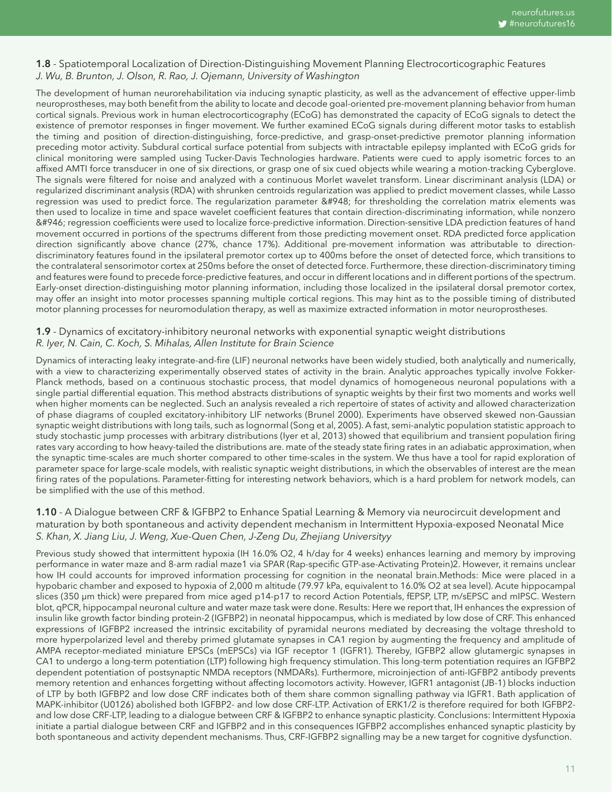#### 1.8 - Spatiotemporal Localization of Direction-Distinguishing Movement Planning Electrocorticographic Features *J. Wu, B. Brunton, J. Olson, R. Rao, J. Ojemann, University of Washington*

The development of human neurorehabilitation via inducing synaptic plasticity, as well as the advancement of effective upper-limb neuroprostheses, may both benefit from the ability to locate and decode goal-oriented pre-movement planning behavior from human cortical signals. Previous work in human electrocorticography (ECoG) has demonstrated the capacity of ECoG signals to detect the existence of premotor responses in finger movement. We further examined ECoG signals during different motor tasks to establish the timing and position of direction-distinguishing, force-predictive, and grasp-onset-predictive premotor planning information preceding motor activity. Subdural cortical surface potential from subjects with intractable epilepsy implanted with ECoG grids for clinical monitoring were sampled using Tucker-Davis Technologies hardware. Patients were cued to apply isometric forces to an affixed AMTI force transducer in one of six directions, or grasp one of six cued objects while wearing a motion-tracking Cyberglove. The signals were filtered for noise and analyzed with a continuous Morlet wavelet transform. Linear discriminant analysis (LDA) or regularized discriminant analysis (RDA) with shrunken centroids regularization was applied to predict movement classes, while Lasso regression was used to predict force. The regularization parameter δ for thresholding the correlation matrix elements was then used to localize in time and space wavelet coefficient features that contain direction-discriminating information, while nonzero β regression coefficients were used to localize force-predictive information. Direction-sensitive LDA prediction features of hand movement occurred in portions of the spectrums different from those predicting movement onset. RDA predicted force application direction significantly above chance (27%, chance 17%). Additional pre-movement information was attributable to directiondiscriminatory features found in the ipsilateral premotor cortex up to 400ms before the onset of detected force, which transitions to the contralateral sensorimotor cortex at 250ms before the onset of detected force. Furthermore, these direction-discriminatory timing and features were found to precede force-predictive features, and occur in different locations and in different portions of the spectrum. Early-onset direction-distinguishing motor planning information, including those localized in the ipsilateral dorsal premotor cortex, may offer an insight into motor processes spanning multiple cortical regions. This may hint as to the possible timing of distributed motor planning processes for neuromodulation therapy, as well as maximize extracted information in motor neuroprostheses.

#### 1.9 - Dynamics of excitatory-inhibitory neuronal networks with exponential synaptic weight distributions *R. Iyer, N. Cain, C. Koch, S. Mihalas, Allen Institute for Brain Science*

Dynamics of interacting leaky integrate-and-fire (LIF) neuronal networks have been widely studied, both analytically and numerically, with a view to characterizing experimentally observed states of activity in the brain. Analytic approaches typically involve Fokker-Planck methods, based on a continuous stochastic process, that model dynamics of homogeneous neuronal populations with a single partial differential equation. This method abstracts distributions of synaptic weights by their first two moments and works well when higher moments can be neglected. Such an analysis revealed a rich repertoire of states of activity and allowed characterization of phase diagrams of coupled excitatory-inhibitory LIF networks (Brunel 2000). Experiments have observed skewed non-Gaussian synaptic weight distributions with long tails, such as lognormal (Song et al, 2005). A fast, semi-analytic population statistic approach to study stochastic jump processes with arbitrary distributions (Iyer et al, 2013) showed that equilibrium and transient population firing rates vary according to how heavy-tailed the distributions are. mate of the steady state firing rates in an adiabatic approximation, when the synaptic time-scales are much shorter compared to other time-scales in the system. We thus have a tool for rapid exploration of parameter space for large-scale models, with realistic synaptic weight distributions, in which the observables of interest are the mean firing rates of the populations. Parameter-fitting for interesting network behaviors, which is a hard problem for network models, can be simplified with the use of this method.

#### 1.10 - A Dialogue between CRF & IGFBP2 to Enhance Spatial Learning & Memory via neurocircuit development and maturation by both spontaneous and activity dependent mechanism in Intermittent Hypoxia-exposed Neonatal Mice *S. Khan, X. Jiang Liu, J. Weng, Xue-Quen Chen, J-Zeng Du, Zhejiang Universityy*

Previous study showed that intermittent hypoxia (IH 16.0% O2, 4 h/day for 4 weeks) enhances learning and memory by improving performance in water maze and 8-arm radial maze1 via SPAR (Rap-specific GTP-ase-Activating Protein)2. However, it remains unclear how IH could accounts for improved information processing for cognition in the neonatal brain.Methods: Mice were placed in a hypobaric chamber and exposed to hypoxia of 2,000 m altitude (79.97 kPa, equivalent to 16.0% O2 at sea level). Acute hippocampal slices (350 µm thick) were prepared from mice aged p14-p17 to record Action Potentials, fEPSP, LTP, m/sEPSC and mIPSC. Western blot, qPCR, hippocampal neuronal culture and water maze task were done. Results: Here we report that, IH enhances the expression of insulin like growth factor binding protein-2 (IGFBP2) in neonatal hippocampus, which is mediated by low dose of CRF. This enhanced expressions of IGFBP2 increased the intrinsic excitability of pyramidal neurons mediated by decreasing the voltage threshold to more hyperpolarized level and thereby primed glutamate synapses in CA1 region by augmenting the frequency and amplitude of AMPA receptor-mediated miniature EPSCs (mEPSCs) via IGF receptor 1 (IGFR1). Thereby, IGFBP2 allow glutamergic synapses in CA1 to undergo a long-term potentiation (LTP) following high frequency stimulation. This long-term potentiation requires an IGFBP2 dependent potentiation of postsynaptic NMDA receptors (NMDARs). Furthermore, microinjection of anti-IGFBP2 antibody prevents memory retention and enhances forgetting without affecting locomotors activity. However, IGFR1 antagonist (JB-1) blocks induction of LTP by both IGFBP2 and low dose CRF indicates both of them share common signalling pathway via IGFR1. Bath application of MAPK-inhibitor (U0126) abolished both IGFBP2- and low dose CRF-LTP. Activation of ERK1/2 is therefore required for both IGFBP2 and low dose CRF-LTP, leading to a dialogue between CRF & IGFBP2 to enhance synaptic plasticity. Conclusions: Intermittent Hypoxia initiate a partial dialogue between CRF and IGFBP2 and in this consequences IGFBP2 accomplishes enhanced synaptic plasticity by both spontaneous and activity dependent mechanisms. Thus, CRF-IGFBP2 signalling may be a new target for cognitive dysfunction.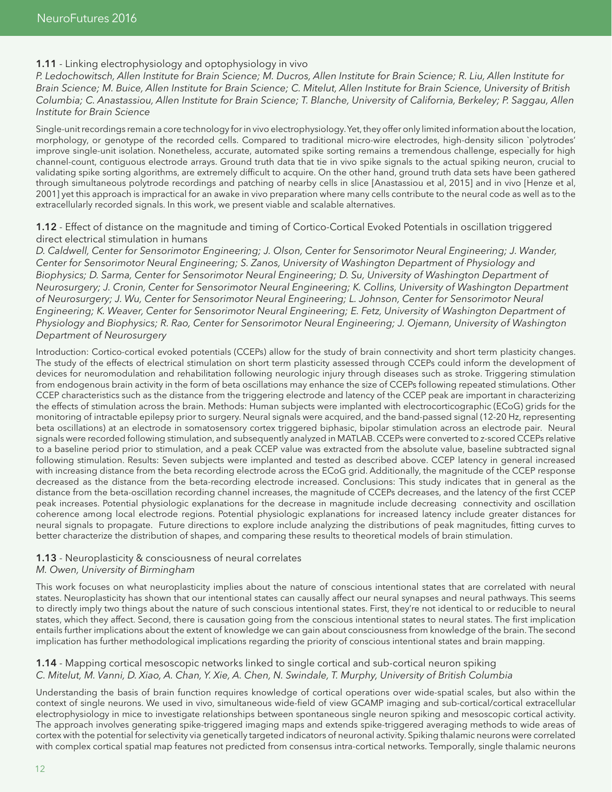#### **1.11** - Linking electrophysiology and optophysiology in vivo

*P. Ledochowitsch, Allen Institute for Brain Science; M. Ducros, Allen Institute for Brain Science; R. Liu, Allen Institute for Brain Science; M. Buice, Allen Institute for Brain Science; C. Mitelut, Allen Institute for Brain Science, University of British Columbia; C. Anastassiou, Allen Institute for Brain Science; T. Blanche, University of California, Berkeley; P. Saggau, Allen Institute for Brain Science*

Single-unit recordings remain a core technology for in vivo electrophysiology. Yet, they offer only limited information about the location, morphology, or genotype of the recorded cells. Compared to traditional micro-wire electrodes, high-density silicon `polytrodes' improve single-unit isolation. Nonetheless, accurate, automated spike sorting remains a tremendous challenge, especially for high channel-count, contiguous electrode arrays. Ground truth data that tie in vivo spike signals to the actual spiking neuron, crucial to validating spike sorting algorithms, are extremely difficult to acquire. On the other hand, ground truth data sets have been gathered through simultaneous polytrode recordings and patching of nearby cells in slice [Anastassiou et al, 2015] and in vivo [Henze et al, 2001] yet this approach is impractical for an awake in vivo preparation where many cells contribute to the neural code as well as to the extracellularly recorded signals. In this work, we present viable and scalable alternatives.

#### 1.12 - Effect of distance on the magnitude and timing of Cortico-Cortical Evoked Potentials in oscillation triggered direct electrical stimulation in humans

*D. Caldwell, Center for Sensorimotor Engineering; J. Olson, Center for Sensorimotor Neural Engineering; J. Wander, Center for Sensorimotor Neural Engineering; S. Zanos, University of Washington Department of Physiology and Biophysics; D. Sarma, Center for Sensorimotor Neural Engineering; D. Su, University of Washington Department of Neurosurgery; J. Cronin, Center for Sensorimotor Neural Engineering; K. Collins, University of Washington Department of Neurosurgery; J. Wu, Center for Sensorimotor Neural Engineering; L. Johnson, Center for Sensorimotor Neural Engineering; K. Weaver, Center for Sensorimotor Neural Engineering; E. Fetz, University of Washington Department of Physiology and Biophysics; R. Rao, Center for Sensorimotor Neural Engineering; J. Ojemann, University of Washington Department of Neurosurgery*

Introduction: Cortico-cortical evoked potentials (CCEPs) allow for the study of brain connectivity and short term plasticity changes. The study of the effects of electrical stimulation on short term plasticity assessed through CCEPs could inform the development of devices for neuromodulation and rehabilitation following neurologic injury through diseases such as stroke. Triggering stimulation from endogenous brain activity in the form of beta oscillations may enhance the size of CCEPs following repeated stimulations. Other CCEP characteristics such as the distance from the triggering electrode and latency of the CCEP peak are important in characterizing the effects of stimulation across the brain. Methods: Human subjects were implanted with electrocorticographic (ECoG) grids for the monitoring of intractable epilepsy prior to surgery. Neural signals were acquired, and the band-passed signal (12-20 Hz, representing beta oscillations) at an electrode in somatosensory cortex triggered biphasic, bipolar stimulation across an electrode pair. Neural signals were recorded following stimulation, and subsequently analyzed in MATLAB. CCEPs were converted to z-scored CCEPs relative to a baseline period prior to stimulation, and a peak CCEP value was extracted from the absolute value, baseline subtracted signal following stimulation. Results: Seven subjects were implanted and tested as described above. CCEP latency in general increased with increasing distance from the beta recording electrode across the ECoG grid. Additionally, the magnitude of the CCEP response decreased as the distance from the beta-recording electrode increased. Conclusions: This study indicates that in general as the distance from the beta-oscillation recording channel increases, the magnitude of CCEPs decreases, and the latency of the first CCEP peak increases. Potential physiologic explanations for the decrease in magnitude include decreasing connectivity and oscillation coherence among local electrode regions. Potential physiologic explanations for increased latency include greater distances for neural signals to propagate. Future directions to explore include analyzing the distributions of peak magnitudes, fitting curves to better characterize the distribution of shapes, and comparing these results to theoretical models of brain stimulation.

#### 1.13 - Neuroplasticity & consciousness of neural correlates

#### *M. Owen, University of Birmingham*

This work focuses on what neuroplasticity implies about the nature of conscious intentional states that are correlated with neural states. Neuroplasticity has shown that our intentional states can causally affect our neural synapses and neural pathways. This seems to directly imply two things about the nature of such conscious intentional states. First, they're not identical to or reducible to neural states, which they affect. Second, there is causation going from the conscious intentional states to neural states. The first implication entails further implications about the extent of knowledge we can gain about consciousness from knowledge of the brain. The second implication has further methodological implications regarding the priority of conscious intentional states and brain mapping.

#### 1.14 - Mapping cortical mesoscopic networks linked to single cortical and sub-cortical neuron spiking *C. Mitelut, M. Vanni, D. Xiao, A. Chan, Y. Xie, A. Chen, N. Swindale, T. Murphy, University of British Columbia*

Understanding the basis of brain function requires knowledge of cortical operations over wide-spatial scales, but also within the context of single neurons. We used in vivo, simultaneous wide-field of view GCAMP imaging and sub-cortical/cortical extracellular electrophysiology in mice to investigate relationships between spontaneous single neuron spiking and mesoscopic cortical activity. The approach involves generating spike-triggered imaging maps and extends spike-triggered averaging methods to wide areas of cortex with the potential for selectivity via genetically targeted indicators of neuronal activity. Spiking thalamic neurons were correlated with complex cortical spatial map features not predicted from consensus intra-cortical networks. Temporally, single thalamic neurons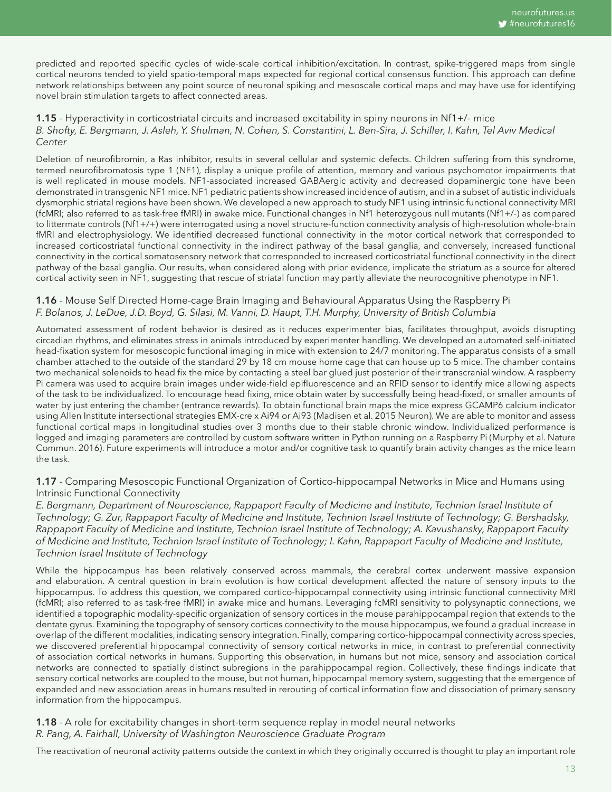predicted and reported specific cycles of wide-scale cortical inhibition/excitation. In contrast, spike-triggered maps from single cortical neurons tended to yield spatio-temporal maps expected for regional cortical consensus function. This approach can define network relationships between any point source of neuronal spiking and mesoscale cortical maps and may have use for identifying novel brain stimulation targets to affect connected areas.

#### 1.15 - Hyperactivity in corticostriatal circuits and increased excitability in spiny neurons in Nf1+/- mice *B. Shofty, E. Bergmann, J. Asleh, Y. Shulman, N. Cohen, S. Constantini, L. Ben-Sira, J. Schiller, I. Kahn, Tel Aviv Medical Center*

Deletion of neurofibromin, a Ras inhibitor, results in several cellular and systemic defects. Children suffering from this syndrome, termed neurofibromatosis type 1 (NF1), display a unique profile of attention, memory and various psychomotor impairments that is well replicated in mouse models. NF1-associated increased GABAergic activity and decreased dopaminergic tone have been demonstrated in transgenic NF1 mice. NF1 pediatric patients show increased incidence of autism, and in a subset of autistic individuals dysmorphic striatal regions have been shown. We developed a new approach to study NF1 using intrinsic functional connectivity MRI (fcMRI; also referred to as task-free fMRI) in awake mice. Functional changes in Nf1 heterozygous null mutants (Nf1+/-) as compared to littermate controls (Nf1+/+) were interrogated using a novel structure-function connectivity analysis of high-resolution whole-brain fMRI and electrophysiology. We identified decreased functional connectivity in the motor cortical network that corresponded to increased corticostriatal functional connectivity in the indirect pathway of the basal ganglia, and conversely, increased functional connectivity in the cortical somatosensory network that corresponded to increased corticostriatal functional connectivity in the direct pathway of the basal ganglia. Our results, when considered along with prior evidence, implicate the striatum as a source for altered cortical activity seen in NF1, suggesting that rescue of striatal function may partly alleviate the neurocognitive phenotype in NF1.

#### **1.16** - Mouse Self Directed Home-cage Brain Imaging and Behavioural Apparatus Using the Raspberry Pi *F. Bolanos, J. LeDue, J.D. Boyd, G. Silasi, M. Vanni, D. Haupt, T.H. Murphy, University of British Columbia*

Automated assessment of rodent behavior is desired as it reduces experimenter bias, facilitates throughput, avoids disrupting circadian rhythms, and eliminates stress in animals introduced by experimenter handling. We developed an automated self-initiated head-fixation system for mesoscopic functional imaging in mice with extension to 24/7 monitoring. The apparatus consists of a small chamber attached to the outside of the standard 29 by 18 cm mouse home cage that can house up to 5 mice. The chamber contains two mechanical solenoids to head fix the mice by contacting a steel bar glued just posterior of their transcranial window. A raspberry Pi camera was used to acquire brain images under wide-field epifluorescence and an RFID sensor to identify mice allowing aspects of the task to be individualized. To encourage head fixing, mice obtain water by successfully being head-fixed, or smaller amounts of water by just entering the chamber (entrance rewards). To obtain functional brain maps the mice express GCAMP6 calcium indicator using Allen Institute intersectional strategies EMX-cre x Ai94 or Ai93 (Madisen et al. 2015 Neuron). We are able to monitor and assess functional cortical maps in longitudinal studies over 3 months due to their stable chronic window. Individualized performance is logged and imaging parameters are controlled by custom software written in Python running on a Raspberry Pi (Murphy et al. Nature Commun. 2016). Future experiments will introduce a motor and/or cognitive task to quantify brain activity changes as the mice learn the task.

#### 1.17 - Comparing Mesoscopic Functional Organization of Cortico-hippocampal Networks in Mice and Humans using Intrinsic Functional Connectivity

*E. Bergmann, Department of Neuroscience, Rappaport Faculty of Medicine and Institute, Technion Israel Institute of Technology; G. Zur, Rappaport Faculty of Medicine and Institute, Technion Israel Institute of Technology; G. Bershadsky, Rappaport Faculty of Medicine and Institute, Technion Israel Institute of Technology; A. Kavushansky, Rappaport Faculty of Medicine and Institute, Technion Israel Institute of Technology; I. Kahn, Rappaport Faculty of Medicine and Institute, Technion Israel Institute of Technology*

While the hippocampus has been relatively conserved across mammals, the cerebral cortex underwent massive expansion and elaboration. A central question in brain evolution is how cortical development affected the nature of sensory inputs to the hippocampus. To address this question, we compared cortico-hippocampal connectivity using intrinsic functional connectivity MRI (fcMRI; also referred to as task-free fMRI) in awake mice and humans. Leveraging fcMRI sensitivity to polysynaptic connections, we identified a topographic modality-specific organization of sensory cortices in the mouse parahippocampal region that extends to the dentate gyrus. Examining the topography of sensory cortices connectivity to the mouse hippocampus, we found a gradual increase in overlap of the different modalities, indicating sensory integration. Finally, comparing cortico-hippocampal connectivity across species, we discovered preferential hippocampal connectivity of sensory cortical networks in mice, in contrast to preferential connectivity of association cortical networks in humans. Supporting this observation, in humans but not mice, sensory and association cortical networks are connected to spatially distinct subregions in the parahippocampal region. Collectively, these findings indicate that sensory cortical networks are coupled to the mouse, but not human, hippocampal memory system, suggesting that the emergence of expanded and new association areas in humans resulted in rerouting of cortical information flow and dissociation of primary sensory information from the hippocampus.

#### **1.18** - A role for excitability changes in short-term sequence replay in model neural networks *R. Pang, A. Fairhall, University of Washington Neuroscience Graduate Program*

The reactivation of neuronal activity patterns outside the context in which they originally occurred is thought to play an important role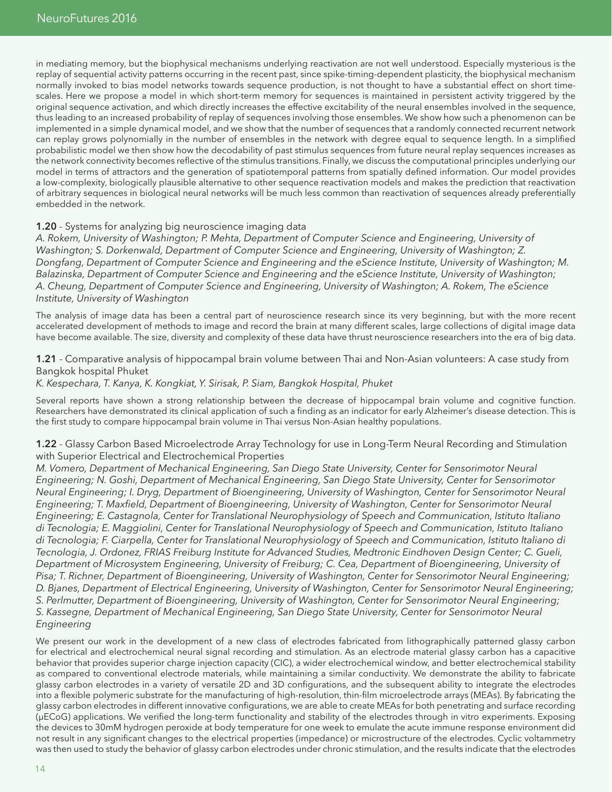in mediating memory, but the biophysical mechanisms underlying reactivation are not well understood. Especially mysterious is the replay of sequential activity patterns occurring in the recent past, since spike-timing-dependent plasticity, the biophysical mechanism normally invoked to bias model networks towards sequence production, is not thought to have a substantial effect on short timescales. Here we propose a model in which short-term memory for sequences is maintained in persistent activity triggered by the original sequence activation, and which directly increases the effective excitability of the neural ensembles involved in the sequence, thus leading to an increased probability of replay of sequences involving those ensembles. We show how such a phenomenon can be implemented in a simple dynamical model, and we show that the number of sequences that a randomly connected recurrent network can replay grows polynomially in the number of ensembles in the network with degree equal to sequence length. In a simplified probabilistic model we then show how the decodability of past stimulus sequences from future neural replay sequences increases as the network connectivity becomes reflective of the stimulus transitions. Finally, we discuss the computational principles underlying our model in terms of attractors and the generation of spatiotemporal patterns from spatially defined information. Our model provides a low-complexity, biologically plausible alternative to other sequence reactivation models and makes the prediction that reactivation of arbitrary sequences in biological neural networks will be much less common than reactivation of sequences already preferentially embedded in the network.

#### 1.20 - Systems for analyzing big neuroscience imaging data

*A. Rokem, University of Washington; P. Mehta, Department of Computer Science and Engineering, University of Washington; S. Dorkenwald, Department of Computer Science and Engineering, University of Washington; Z. Dongfang, Department of Computer Science and Engineering and the eScience Institute, University of Washington; M. Balazinska, Department of Computer Science and Engineering and the eScience Institute, University of Washington; A. Cheung, Department of Computer Science and Engineering, University of Washington; A. Rokem, The eScience Institute, University of Washington* 

The analysis of image data has been a central part of neuroscience research since its very beginning, but with the more recent accelerated development of methods to image and record the brain at many different scales, large collections of digital image data have become available. The size, diversity and complexity of these data have thrust neuroscience researchers into the era of big data.

1.21 - Comparative analysis of hippocampal brain volume between Thai and Non-Asian volunteers: A case study from Bangkok hospital Phuket

#### *K. Kespechara, T. Kanya, K. Kongkiat, Y. Sirisak, P. Siam, Bangkok Hospital, Phuket*

Several reports have shown a strong relationship between the decrease of hippocampal brain volume and cognitive function. Researchers have demonstrated its clinical application of such a finding as an indicator for early Alzheimer's disease detection. This is the first study to compare hippocampal brain volume in Thai versus Non-Asian healthy populations.

1.22 - Glassy Carbon Based Microelectrode Array Technology for use in Long-Term Neural Recording and Stimulation with Superior Electrical and Electrochemical Properties

*M. Vomero, Department of Mechanical Engineering, San Diego State University, Center for Sensorimotor Neural Engineering; N. Goshi, Department of Mechanical Engineering, San Diego State University, Center for Sensorimotor Neural Engineering; I. Dryg, Department of Bioengineering, University of Washington, Center for Sensorimotor Neural Engineering; T. Maxfield, Department of Bioengineering, University of Washington, Center for Sensorimotor Neural Engineering; E. Castagnola, Center for Translational Neurophysiology of Speech and Communication, Istituto Italiano di Tecnologia; E. Maggiolini, Center for Translational Neurophysiology of Speech and Communication, Istituto Italiano di Tecnologia; F. Ciarpella, Center for Translational Neurophysiology of Speech and Communication, Istituto Italiano di Tecnologia, J. Ordonez, FRIAS Freiburg Institute for Advanced Studies, Medtronic Eindhoven Design Center; C. Gueli, Department of Microsystem Engineering, University of Freiburg; C. Cea, Department of Bioengineering, University of Pisa; T. Richner, Department of Bioengineering, University of Washington, Center for Sensorimotor Neural Engineering; D. Bjanes, Department of Electrical Engineering, University of Washington, Center for Sensorimotor Neural Engineering; S. Perlmutter, Department of Bioengineering, University of Washington, Center for Sensorimotor Neural Engineering; S. Kassegne, Department of Mechanical Engineering, San Diego State University, Center for Sensorimotor Neural Engineering* 

We present our work in the development of a new class of electrodes fabricated from lithographically patterned glassy carbon for electrical and electrochemical neural signal recording and stimulation. As an electrode material glassy carbon has a capacitive behavior that provides superior charge injection capacity (CIC), a wider electrochemical window, and better electrochemical stability as compared to conventional electrode materials, while maintaining a similar conductivity. We demonstrate the ability to fabricate glassy carbon electrodes in a variety of versatile 2D and 3D configurations, and the subsequent ability to integrate the electrodes into a flexible polymeric substrate for the manufacturing of high-resolution, thin-film microelectrode arrays (MEAs). By fabricating the glassy carbon electrodes in different innovative configurations, we are able to create MEAs for both penetrating and surface recording (µECoG) applications. We verified the long-term functionality and stability of the electrodes through in vitro experiments. Exposing the devices to 30mM hydrogen peroxide at body temperature for one week to emulate the acute immune response environment did not result in any significant changes to the electrical properties (impedance) or microstructure of the electrodes. Cyclic voltammetry was then used to study the behavior of glassy carbon electrodes under chronic stimulation, and the results indicate that the electrodes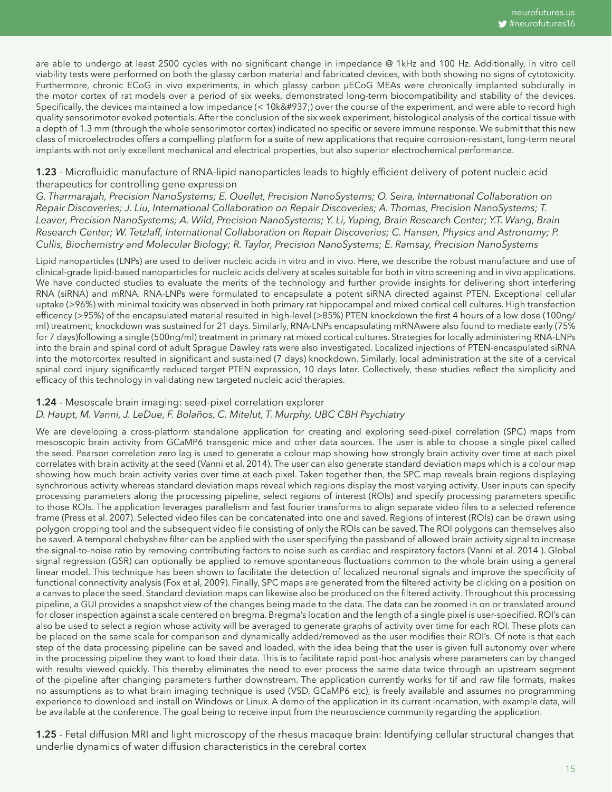are able to undergo at least 2500 cycles with no significant change in impedance @ 1kHz and 100 Hz. Additionally, in vitro cell viability tests were performed on both the glassy carbon material and fabricated devices, with both showing no signs of cytotoxicity. Furthermore, chronic ECoG in vivo experiments, in which glassy carbon µECoG MEAs were chronically implanted subdurally in the motor cortex of rat models over a period of six weeks, demonstrated long-term biocompatibility and stability of the devices. Specifically, the devices maintained a low impedance (< 10k&#937;) over the course of the experiment, and were able to record high quality sensorimotor evoked potentials. After the conclusion of the six week experiment, histological analysis of the cortical tissue with a depth of 1.3 mm (through the whole sensorimotor cortex) indicated no specific or severe immune response. We submit that this new class of microelectrodes offers a compelling platform for a suite of new applications that require corrosion-resistant, long-term neural implants with not only excellent mechanical and electrical properties, but also superior electrochemical performance.

#### 1.23 - Microfluidic manufacture of RNA-lipid nanoparticles leads to highly efficient delivery of potent nucleic acid therapeutics for controlling gene expression

*G. Tharmarajah, Precision NanoSystems; E. Ouellet, Precision NanoSystems; O. Seira, International Collaboration on Repair Discoveries; J. Liu, International Collaboration on Repair Discoveries; A. Thomas, Precision NanoSystems; T. Leaver, Precision NanoSystems; A. Wild, Precision NanoSystems; Y. Li, Yuping, Brain Research Center; Y.T. Wang, Brain Research Center; W. Tetzlaff, International Collaboration on Repair Discoveries; C. Hansen, Physics and Astronomy; P. Cullis, Biochemistry and Molecular Biology; R. Taylor, Precision NanoSystems; E. Ramsay, Precision NanoSystems*

Lipid nanoparticles (LNPs) are used to deliver nucleic acids in vitro and in vivo. Here, we describe the robust manufacture and use of clinical-grade lipid-based nanoparticles for nucleic acids delivery at scales suitable for both in vitro screening and in vivo applications. We have conducted studies to evaluate the merits of the technology and further provide insights for delivering short interfering RNA (siRNA) and mRNA. RNA-LNPs were formulated to encapsulate a potent siRNA directed against PTEN. Exceptional cellular uptake (>96%) with minimal toxicity was observed in both primary rat hippocampal and mixed cortical cell cultures. High transfection efficency (>95%) of the encapsulated material resulted in high-level (>85%) PTEN knockdown the first 4 hours of a low dose (100ng/ ml) treatment; knockdown was sustained for 21 days. Similarly, RNA-LNPs encapsulating mRNAwere also found to mediate early (75% for 7 days)following a single (500ng/ml) treatment in primary rat mixed cortical cultures. Strategies for locally administering RNA-LNPs into the brain and spinal cord of adult Sprague Dawley rats were also investigated. Localized injections of PTEN-encaspulated siRNA into the motorcortex resulted in significant and sustained (7 days) knockdown. Similarly, local administration at the site of a cervical spinal cord injury significantly reduced target PTEN expression, 10 days later. Collectively, these studies reflect the simplicity and efficacy of this technology in validating new targeted nucleic acid therapies.

#### 1.24 - Mesoscale brain imaging: seed-pixel correlation explorer *D. Haupt, M. Vanni, J. LeDue, F. Bolaños, C. Mitelut, T. Murphy, UBC CBH Psychiatry*

We are developing a cross-platform standalone application for creating and exploring seed-pixel correlation (SPC) maps from mesoscopic brain activity from GCaMP6 transgenic mice and other data sources. The user is able to choose a single pixel called the seed. Pearson correlation zero lag is used to generate a colour map showing how strongly brain activity over time at each pixel correlates with brain activity at the seed (Vanni et al. 2014). The user can also generate standard deviation maps which is a colour map showing how much brain activity varies over time at each pixel. Taken together then, the SPC map reveals brain regions displaying synchronous activity whereas standard deviation maps reveal which regions display the most varying activity. User inputs can specify processing parameters along the processing pipeline, select regions of interest (ROIs) and specify processing parameters specific to those ROIs. The application leverages parallelism and fast fourier transforms to align separate video files to a selected reference frame (Press et al. 2007). Selected video files can be concatenated into one and saved. Regions of interest (ROIs) can be drawn using polygon cropping tool and the subsequent video file consisting of only the ROIs can be saved. The ROI polygons can themselves also be saved. A temporal chebyshev filter can be applied with the user specifying the passband of allowed brain activity signal to increase the signal-to-noise ratio by removing contributing factors to noise such as cardiac and respiratory factors (Vanni et al. 2014 ). Global signal regression (GSR) can optionally be applied to remove spontaneous fluctuations common to the whole brain using a general linear model. This technique has been shown to facilitate the detection of localized neuronal signals and improve the specificity of functional connectivity analysis (Fox et al, 2009). Finally, SPC maps are generated from the filtered activity be clicking on a position on a canvas to place the seed. Standard deviation maps can likewise also be produced on the filtered activity. Throughout this processing pipeline, a GUI provides a snapshot view of the changes being made to the data. The data can be zoomed in on or translated around for closer inspection against a scale centered on bregma. Bregma's location and the length of a single pixel is user-specified. ROI's can also be used to select a region whose activity will be averaged to generate graphs of activity over time for each ROI. These plots can be placed on the same scale for comparison and dynamically added/removed as the user modifies their ROI's. Of note is that each step of the data processing pipeline can be saved and loaded, with the idea being that the user is given full autonomy over where in the processing pipeline they want to load their data. This is to facilitate rapid post-hoc analysis where parameters can by changed with results viewed quickly. This thereby eliminates the need to ever process the same data twice through an upstream segment of the pipeline after changing parameters further downstream. The application currently works for tif and raw file formats, makes no assumptions as to what brain imaging technique is used (VSD, GCaMP6 etc), is freely available and assumes no programming experience to download and install on Windows or Linux. A demo of the application in its current incarnation, with example data, will be available at the conference. The goal being to receive input from the neuroscience community regarding the application.

1.25 - Fetal diffusion MRI and light microscopy of the rhesus macaque brain: Identifying cellular structural changes that underlie dynamics of water diffusion characteristics in the cerebral cortex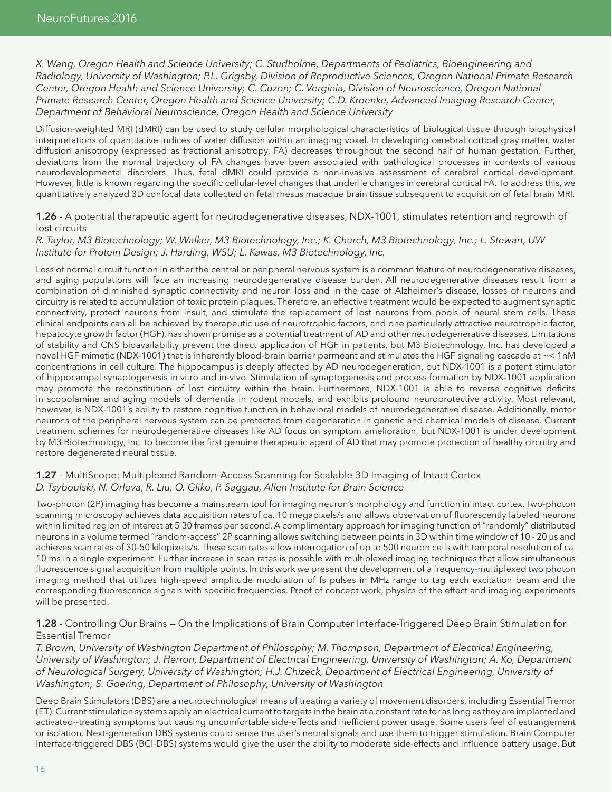*X. Wang, Oregon Health and Science University; C. Studholme, Departments of Pediatrics, Bioengineering and Radiology, University of Washington; P.L. Grigsby, Division of Reproductive Sciences, Oregon National Primate Research Center, Oregon Health and Science University; C. Cuzon; C. Verginia, Division of Neuroscience, Oregon National Primate Research Center, Oregon Health and Science University; C.D. Kroenke, Advanced Imaging Research Center, Department of Behavioral Neuroscience, Oregon Health and Science University*

Diffusion-weighted MRI (dMRI) can be used to study cellular morphological characteristics of biological tissue through biophysical interpretations of quantitative indices of water diffusion within an imaging voxel. In developing cerebral cortical gray matter, water diffusion anisotropy (expressed as fractional anisotropy, FA) decreases throughout the second half of human gestation. Further, deviations from the normal trajectory of FA changes have been associated with pathological processes in contexts of various neurodevelopmental disorders. Thus, fetal dMRI could provide a non-invasive assessment of cerebral cortical development. However, little is known regarding the specific cellular-level changes that underlie changes in cerebral cortical FA. To address this, we quantitatively analyzed 3D confocal data collected on fetal rhesus macaque brain tissue subsequent to acquisition of fetal brain MRI.

#### 1.26 - A potential therapeutic agent for neurodegenerative diseases, NDX-1001, stimulates retention and regrowth of lost circuits

#### *R. Taylor, M3 Biotechnology; W. Walker, M3 Biotechnology, Inc.; K. Church, M3 Biotechnology, Inc.; L. Stewart, UW Institute for Protein Design; J. Harding, WSU; L. Kawas, M3 Biotechnology, Inc.*

Loss of normal circuit function in either the central or peripheral nervous system is a common feature of neurodegenerative diseases, and aging populations will face an increasing neurodegenerative disease burden. All neurodegenerative diseases result from a combination of diminished synaptic connectivity and neuron loss and in the case of Alzheimer's disease, losses of neurons and circuitry is related to accumulation of toxic protein plaques. Therefore, an effective treatment would be expected to augment synaptic connectivity, protect neurons from insult, and stimulate the replacement of lost neurons from pools of neural stem cells. These clinical endpoints can all be achieved by therapeutic use of neurotrophic factors, and one particularly attractive neurotrophic factor, hepatocyte growth factor (HGF), has shown promise as a potential treatment of AD and other neurodegenerative diseases. Limitations of stability and CNS bioavailability prevent the direct application of HGF in patients, but M3 Biotechnology, Inc. has developed a novel HGF mimetic (NDX-1001) that is inherently blood-brain barrier permeant and stimulates the HGF signaling cascade at ~< 1nM concentrations in cell culture. The hippocampus is deeply affected by AD neurodegeneration, but NDX-1001 is a potent stimulator of hippocampal synaptogenesis in vitro and in-vivo. Stimulation of synaptogenesis and process formation by NDX-1001 application may promote the reconstitution of lost circuitry within the brain. Furthermore, NDX-1001 is able to reverse cognitive deficits in scopolamine and aging models of dementia in rodent models, and exhibits profound neuroprotective activity. Most relevant, however, is NDX-1001's ability to restore cognitive function in behavioral models of neurodegenerative disease. Additionally, motor neurons of the peripheral nervous system can be protected from degeneration in genetic and chemical models of disease. Current treatment schemes for neurodegenerative diseases like AD focus on symptom amelioration, but NDX-1001 is under development by M3 Biotechnology, Inc. to become the first genuine therapeutic agent of AD that may promote protection of healthy circuitry and restore degenerated neural tissue.

#### 1.27 - MultiScope: Multiplexed Random-Access Scanning for Scalable 3D Imaging of Intact Cortex *D. Tsyboulski, N. Orlova, R. Liu, O. Gliko, P. Saggau, Allen Institute for Brain Science*

Two-photon (2P) imaging has become a mainstream tool for imaging neuron's morphology and function in intact cortex. Two-photon scanning microscopy achieves data acquisition rates of ca. 10 megapixels/s and allows observation of fluorescently labeled neurons within limited region of interest at 5 30 frames per second. A complimentary approach for imaging function of "randomly" distributed neurons in a volume termed "random-access" 2P scanning allows switching between points in 3D within time window of 10 - 20 µs and achieves scan rates of 30-50 kilopixels/s. These scan rates allow interrogation of up to 500 neuron cells with temporal resolution of ca. 10 ms in a single experiment. Further increase in scan rates is possible with multiplexed imaging techniques that allow simultaneous fluorescence signal acquisition from multiple points. In this work we present the development of a frequency-multiplexed two photon imaging method that utilizes high-speed amplitude modulation of fs pulses in MHz range to tag each excitation beam and the corresponding fluorescence signals with specific frequencies. Proof of concept work, physics of the effect and imaging experiments will be presented.

#### 1.28 - Controlling Our Brains – On the Implications of Brain Computer Interface-Triggered Deep Brain Stimulation for Essential Tremor

*T. Brown, University of Washington Department of Philosophy; M. Thompson, Department of Electrical Engineering, University of Washington; J. Herron, Department of Electrical Engineering, University of Washington; A. Ko, Department of Neurological Surgery, University of Washington; H.J. Chizeck, Department of Electrical Engineering, University of Washington; S. Goering, Department of Philosophy, University of Washington* 

Deep Brain Stimulators (DBS) are a neurotechnological means of treating a variety of movement disorders, including Essential Tremor (ET). Current stimulation systems apply an electrical current to targets in the brain at a constant rate for as long as they are implanted and activated--treating symptoms but causing uncomfortable side-effects and inefficient power usage. Some users feel of estrangement or isolation. Next-generation DBS systems could sense the user's neural signals and use them to trigger stimulation. Brain Computer Interface-triggered DBS (BCI-DBS) systems would give the user the ability to moderate side-effects and influence battery usage. But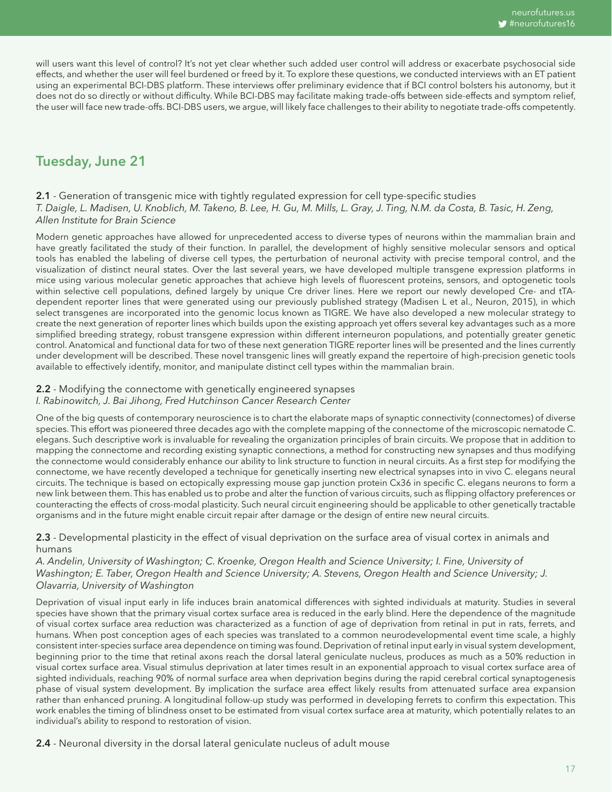will users want this level of control? It's not yet clear whether such added user control will address or exacerbate psychosocial side effects, and whether the user will feel burdened or freed by it. To explore these questions, we conducted interviews with an ET patient using an experimental BCI-DBS platform. These interviews offer preliminary evidence that if BCI control bolsters his autonomy, but it does not do so directly or without difficulty. While BCI-DBS may facilitate making trade-offs between side-effects and symptom relief, the user will face new trade-offs. BCI-DBS users, we argue, will likely face challenges to their ability to negotiate trade-offs competently.

# Tuesday, June 21

#### 2.1 - Generation of transgenic mice with tightly regulated expression for cell type-specific studies *T. Daigle, L. Madisen, U. Knoblich, M. Takeno, B. Lee, H. Gu, M. Mills, L. Gray, J. Ting, N.M. da Costa, B. Tasic, H. Zeng, Allen Institute for Brain Science*

Modern genetic approaches have allowed for unprecedented access to diverse types of neurons within the mammalian brain and have greatly facilitated the study of their function. In parallel, the development of highly sensitive molecular sensors and optical tools has enabled the labeling of diverse cell types, the perturbation of neuronal activity with precise temporal control, and the visualization of distinct neural states. Over the last several years, we have developed multiple transgene expression platforms in mice using various molecular genetic approaches that achieve high levels of fluorescent proteins, sensors, and optogenetic tools within selective cell populations, defined largely by unique Cre driver lines. Here we report our newly developed Cre- and tTAdependent reporter lines that were generated using our previously published strategy (Madisen L et al., Neuron, 2015), in which select transgenes are incorporated into the genomic locus known as TIGRE. We have also developed a new molecular strategy to create the next generation of reporter lines which builds upon the existing approach yet offers several key advantages such as a more simplified breeding strategy, robust transgene expression within different interneuron populations, and potentially greater genetic control. Anatomical and functional data for two of these next generation TIGRE reporter lines will be presented and the lines currently under development will be described. These novel transgenic lines will greatly expand the repertoire of high-precision genetic tools available to effectively identify, monitor, and manipulate distinct cell types within the mammalian brain.

#### 2.2 - Modifying the connectome with genetically engineered synapses *I. Rabinowitch, J. Bai Jihong, Fred Hutchinson Cancer Research Center*

One of the big quests of contemporary neuroscience is to chart the elaborate maps of synaptic connectivity (connectomes) of diverse species. This effort was pioneered three decades ago with the complete mapping of the connectome of the microscopic nematode C. elegans. Such descriptive work is invaluable for revealing the organization principles of brain circuits. We propose that in addition to mapping the connectome and recording existing synaptic connections, a method for constructing new synapses and thus modifying the connectome would considerably enhance our ability to link structure to function in neural circuits. As a first step for modifying the connectome, we have recently developed a technique for genetically inserting new electrical synapses into in vivo C. elegans neural circuits. The technique is based on ectopically expressing mouse gap junction protein Cx36 in specific C. elegans neurons to form a new link between them. This has enabled us to probe and alter the function of various circuits, such as flipping olfactory preferences or counteracting the effects of cross-modal plasticity. Such neural circuit engineering should be applicable to other genetically tractable organisms and in the future might enable circuit repair after damage or the design of entire new neural circuits.

#### 2.3 - Developmental plasticity in the effect of visual deprivation on the surface area of visual cortex in animals and humans

*A. Andelin, University of Washington; C. Kroenke, Oregon Health and Science University; I. Fine, University of Washington; E. Taber, Oregon Health and Science University; A. Stevens, Oregon Health and Science University; J. Olavarria, University of Washington*

Deprivation of visual input early in life induces brain anatomical differences with sighted individuals at maturity. Studies in several species have shown that the primary visual cortex surface area is reduced in the early blind. Here the dependence of the magnitude of visual cortex surface area reduction was characterized as a function of age of deprivation from retinal in put in rats, ferrets, and humans. When post conception ages of each species was translated to a common neurodevelopmental event time scale, a highly consistent inter-species surface area dependence on timing was found. Deprivation of retinal input early in visual system development, beginning prior to the time that retinal axons reach the dorsal lateral geniculate nucleus, produces as much as a 50% reduction in visual cortex surface area. Visual stimulus deprivation at later times result in an exponential approach to visual cortex surface area of sighted individuals, reaching 90% of normal surface area when deprivation begins during the rapid cerebral cortical synaptogenesis phase of visual system development. By implication the surface area effect likely results from attenuated surface area expansion rather than enhanced pruning. A longitudinal follow-up study was performed in developing ferrets to confirm this expectation. This work enables the timing of blindness onset to be estimated from visual cortex surface area at maturity, which potentially relates to an individual's ability to respond to restoration of vision.

2.4 - Neuronal diversity in the dorsal lateral geniculate nucleus of adult mouse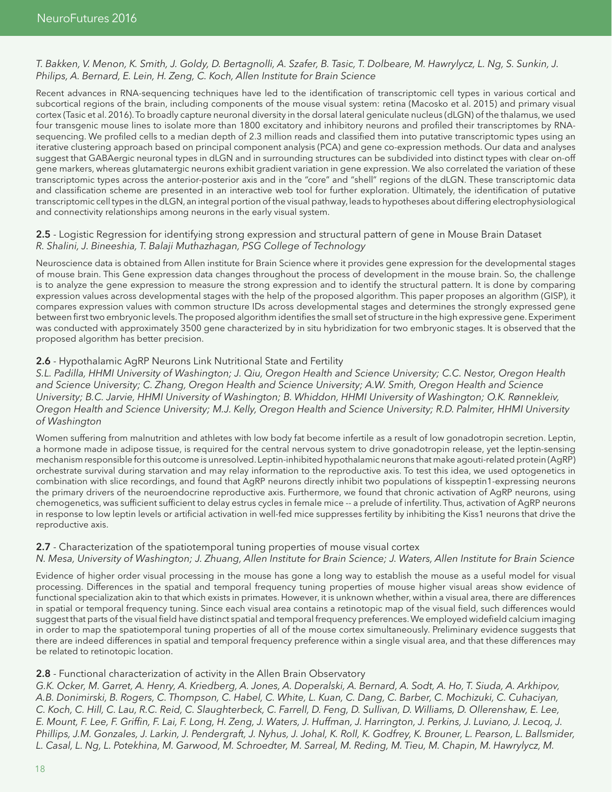#### *T. Bakken, V. Menon, K. Smith, J. Goldy, D. Bertagnolli, A. Szafer, B. Tasic, T. Dolbeare, M. Hawrylycz, L. Ng, S. Sunkin, J. Philips, A. Bernard, E. Lein, H. Zeng, C. Koch, Allen Institute for Brain Science*

Recent advances in RNA-sequencing techniques have led to the identification of transcriptomic cell types in various cortical and subcortical regions of the brain, including components of the mouse visual system: retina (Macosko et al. 2015) and primary visual cortex (Tasic et al. 2016). To broadly capture neuronal diversity in the dorsal lateral geniculate nucleus (dLGN) of the thalamus, we used four transgenic mouse lines to isolate more than 1800 excitatory and inhibitory neurons and profiled their transcriptomes by RNAsequencing. We profiled cells to a median depth of 2.3 million reads and classified them into putative transcriptomic types using an iterative clustering approach based on principal component analysis (PCA) and gene co-expression methods. Our data and analyses suggest that GABAergic neuronal types in dLGN and in surrounding structures can be subdivided into distinct types with clear on-off gene markers, whereas glutamatergic neurons exhibit gradient variation in gene expression. We also correlated the variation of these transcriptomic types across the anterior-posterior axis and in the "core" and "shell" regions of the dLGN. These transcriptomic data and classification scheme are presented in an interactive web tool for further exploration. Ultimately, the identification of putative transcriptomic cell types in the dLGN, an integral portion of the visual pathway, leads to hypotheses about differing electrophysiological and connectivity relationships among neurons in the early visual system.

#### 2.5 - Logistic Regression for identifying strong expression and structural pattern of gene in Mouse Brain Dataset *R. Shalini, J. Bineeshia, T. Balaji Muthazhagan, PSG College of Technology*

Neuroscience data is obtained from Allen institute for Brain Science where it provides gene expression for the developmental stages of mouse brain. This Gene expression data changes throughout the process of development in the mouse brain. So, the challenge is to analyze the gene expression to measure the strong expression and to identify the structural pattern. It is done by comparing expression values across developmental stages with the help of the proposed algorithm. This paper proposes an algorithm (GISP), it compares expression values with common structure IDs across developmental stages and determines the strongly expressed gene between first two embryonic levels. The proposed algorithm identifies the small set of structure in the high expressive gene. Experiment was conducted with approximately 3500 gene characterized by in situ hybridization for two embryonic stages. It is observed that the proposed algorithm has better precision.

#### 2.6 - Hypothalamic AgRP Neurons Link Nutritional State and Fertility

*S.L. Padilla, HHMI University of Washington; J. Qiu, Oregon Health and Science University; C.C. Nestor, Oregon Health and Science University; C. Zhang, Oregon Health and Science University; A.W. Smith, Oregon Health and Science University; B.C. Jarvie, HHMI University of Washington; B. Whiddon, HHMI University of Washington; O.K. Rønnekleiv, Oregon Health and Science University; M.J. Kelly, Oregon Health and Science University; R.D. Palmiter, HHMI University of Washington*

Women suffering from malnutrition and athletes with low body fat become infertile as a result of low gonadotropin secretion. Leptin, a hormone made in adipose tissue, is required for the central nervous system to drive gonadotropin release, yet the leptin-sensing mechanism responsible for this outcome is unresolved. Leptin-inhibited hypothalamic neurons that make agouti-related protein (AgRP) orchestrate survival during starvation and may relay information to the reproductive axis. To test this idea, we used optogenetics in combination with slice recordings, and found that AgRP neurons directly inhibit two populations of kisspeptin1-expressing neurons the primary drivers of the neuroendocrine reproductive axis. Furthermore, we found that chronic activation of AgRP neurons, using chemogenetics, was sufficient sufficient to delay estrus cycles in female mice -- a prelude of infertility. Thus, activation of AgRP neurons in response to low leptin levels or artificial activation in well-fed mice suppresses fertility by inhibiting the Kiss1 neurons that drive the reproductive axis.

#### 2.7 - Characterization of the spatiotemporal tuning properties of mouse visual cortex

#### *N. Mesa, University of Washington; J. Zhuang, Allen Institute for Brain Science; J. Waters, Allen Institute for Brain Science*

Evidence of higher order visual processing in the mouse has gone a long way to establish the mouse as a useful model for visual processing. Differences in the spatial and temporal frequency tuning properties of mouse higher visual areas show evidence of functional specialization akin to that which exists in primates. However, it is unknown whether, within a visual area, there are differences in spatial or temporal frequency tuning. Since each visual area contains a retinotopic map of the visual field, such differences would suggest that parts of the visual field have distinct spatial and temporal frequency preferences. We employed widefield calcium imaging in order to map the spatiotemporal tuning properties of all of the mouse cortex simultaneously. Preliminary evidence suggests that there are indeed differences in spatial and temporal frequency preference within a single visual area, and that these differences may be related to retinotopic location.

#### 2.8 - Functional characterization of activity in the Allen Brain Observatory

*G.K. Ocker, M. Garret, A. Henry, A. Kriedberg, A. Jones, A. Doperalski, A. Bernard, A. Sodt, A. Ho, T. Siuda, A. Arkhipov, A.B. Donimirski, B. Rogers, C. Thompson, C. Habel, C. White, L. Kuan, C. Dang, C. Barber, C. Mochizuki, C. Cuhaciyan, C. Koch, C. Hill, C. Lau, R.C. Reid, C. Slaughterbeck, C. Farrell, D. Feng, D. Sullivan, D. Williams, D. Ollerenshaw, E. Lee, E. Mount, F. Lee, F. Griffin, F. Lai, F. Long, H. Zeng, J. Waters, J. Huffman, J. Harrington, J. Perkins, J. Luviano, J. Lecoq, J. Phillips, J.M. Gonzales, J. Larkin, J. Pendergraft, J. Nyhus, J. Johal, K. Roll, K. Godfrey, K. Brouner, L. Pearson, L. Ballsmider, L. Casal, L. Ng, L. Potekhina, M. Garwood, M. Schroedter, M. Sarreal, M. Reding, M. Tieu, M. Chapin, M. Hawrylycz, M.*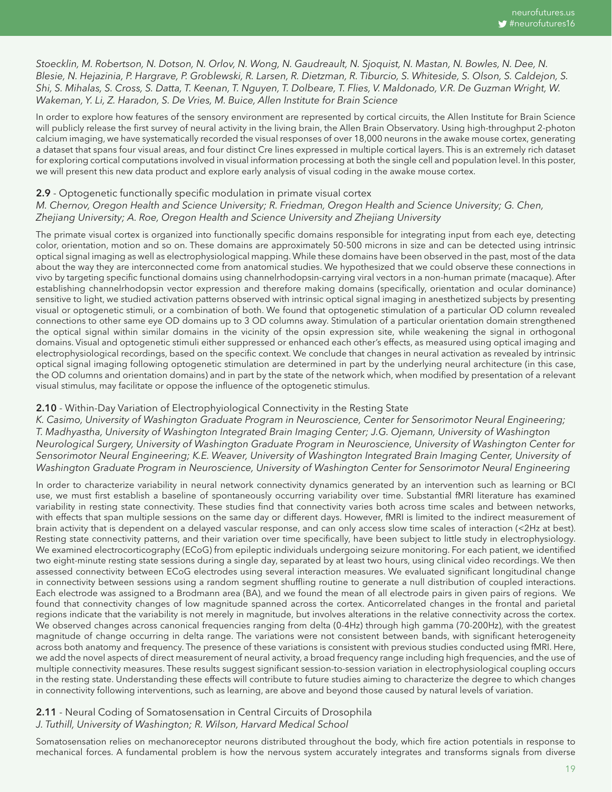*Stoecklin, M. Robertson, N. Dotson, N. Orlov, N. Wong, N. Gaudreault, N. Sjoquist, N. Mastan, N. Bowles, N. Dee, N. Blesie, N. Hejazinia, P. Hargrave, P. Groblewski, R. Larsen, R. Dietzman, R. Tiburcio, S. Whiteside, S. Olson, S. Caldejon, S. Shi, S. Mihalas, S. Cross, S. Datta, T. Keenan, T. Nguyen, T. Dolbeare, T. Flies, V. Maldonado, V.R. De Guzman Wright, W. Wakeman, Y. Li, Z. Haradon, S. De Vries, M. Buice, Allen Institute for Brain Science* 

In order to explore how features of the sensory environment are represented by cortical circuits, the Allen Institute for Brain Science will publicly release the first survey of neural activity in the living brain, the Allen Brain Observatory. Using high-throughput 2-photon calcium imaging, we have systematically recorded the visual responses of over 18,000 neurons in the awake mouse cortex, generating a dataset that spans four visual areas, and four distinct Cre lines expressed in multiple cortical layers. This is an extremely rich dataset for exploring cortical computations involved in visual information processing at both the single cell and population level. In this poster, we will present this new data product and explore early analysis of visual coding in the awake mouse cortex.

#### 2.9 - Optogenetic functionally specific modulation in primate visual cortex

#### *M. Chernov, Oregon Health and Science University; R. Friedman, Oregon Health and Science University; G. Chen, Zhejiang University; A. Roe, Oregon Health and Science University and Zhejiang University*

The primate visual cortex is organized into functionally specific domains responsible for integrating input from each eye, detecting color, orientation, motion and so on. These domains are approximately 50-500 microns in size and can be detected using intrinsic optical signal imaging as well as electrophysiological mapping. While these domains have been observed in the past, most of the data about the way they are interconnected come from anatomical studies. We hypothesized that we could observe these connections in vivo by targeting specific functional domains using channelrhodopsin-carrying viral vectors in a non-human primate (macaque). After establishing channelrhodopsin vector expression and therefore making domains (specifically, orientation and ocular dominance) sensitive to light, we studied activation patterns observed with intrinsic optical signal imaging in anesthetized subjects by presenting visual or optogenetic stimuli, or a combination of both. We found that optogenetic stimulation of a particular OD column revealed connections to other same eye OD domains up to 3 OD columns away. Stimulation of a particular orientation domain strengthened the optical signal within similar domains in the vicinity of the opsin expression site, while weakening the signal in orthogonal domains. Visual and optogenetic stimuli either suppressed or enhanced each other's effects, as measured using optical imaging and electrophysiological recordings, based on the specific context. We conclude that changes in neural activation as revealed by intrinsic optical signal imaging following optogenetic stimulation are determined in part by the underlying neural architecture (in this case, the OD columns and orientation domains) and in part by the state of the network which, when modified by presentation of a relevant visual stimulus, may facilitate or oppose the influence of the optogenetic stimulus.

#### 2.10 - Within-Day Variation of Electrophyiological Connectivity in the Resting State

*K. Casimo, University of Washington Graduate Program in Neuroscience, Center for Sensorimotor Neural Engineering; T. Madhyastha, University of Washington Integrated Brain Imaging Center; J.G. Ojemann, University of Washington Neurological Surgery, University of Washington Graduate Program in Neuroscience, University of Washington Center for Sensorimotor Neural Engineering; K.E. Weaver, University of Washington Integrated Brain Imaging Center, University of Washington Graduate Program in Neuroscience, University of Washington Center for Sensorimotor Neural Engineering*

In order to characterize variability in neural network connectivity dynamics generated by an intervention such as learning or BCI use, we must first establish a baseline of spontaneously occurring variability over time. Substantial fMRI literature has examined variability in resting state connectivity. These studies find that connectivity varies both across time scales and between networks, with effects that span multiple sessions on the same day or different days. However, fMRI is limited to the indirect measurement of brain activity that is dependent on a delayed vascular response, and can only access slow time scales of interaction (<2Hz at best). Resting state connectivity patterns, and their variation over time specifically, have been subject to little study in electrophysiology. We examined electrocorticography (ECoG) from epileptic individuals undergoing seizure monitoring. For each patient, we identified two eight-minute resting state sessions during a single day, separated by at least two hours, using clinical video recordings. We then assessed connectivity between ECoG electrodes using several interaction measures. We evaluated significant longitudinal change in connectivity between sessions using a random segment shuffling routine to generate a null distribution of coupled interactions. Each electrode was assigned to a Brodmann area (BA), and we found the mean of all electrode pairs in given pairs of regions. We found that connectivity changes of low magnitude spanned across the cortex. Anticorrelated changes in the frontal and parietal regions indicate that the variability is not merely in magnitude, but involves alterations in the relative connectivity across the cortex. We observed changes across canonical frequencies ranging from delta (0-4Hz) through high gamma (70-200Hz), with the greatest magnitude of change occurring in delta range. The variations were not consistent between bands, with significant heterogeneity across both anatomy and frequency. The presence of these variations is consistent with previous studies conducted using fMRI. Here, we add the novel aspects of direct measurement of neural activity, a broad frequency range including high frequencies, and the use of multiple connectivity measures. These results suggest significant session-to-session variation in electrophysiological coupling occurs in the resting state. Understanding these effects will contribute to future studies aiming to characterize the degree to which changes in connectivity following interventions, such as learning, are above and beyond those caused by natural levels of variation.

#### 2.11 - Neural Coding of Somatosensation in Central Circuits of Drosophila *J. Tuthill, University of Washington; R. Wilson, Harvard Medical School*

Somatosensation relies on mechanoreceptor neurons distributed throughout the body, which fire action potentials in response to mechanical forces. A fundamental problem is how the nervous system accurately integrates and transforms signals from diverse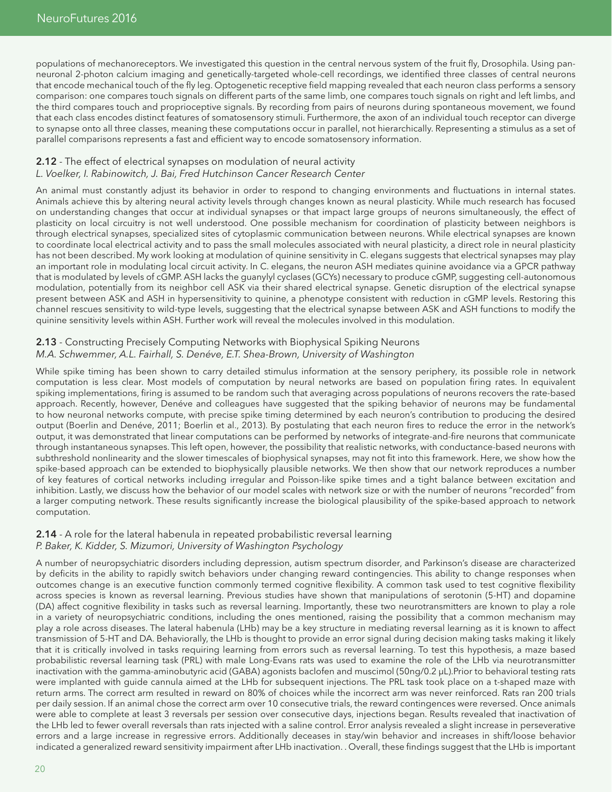populations of mechanoreceptors. We investigated this question in the central nervous system of the fruit fly, Drosophila. Using panneuronal 2-photon calcium imaging and genetically-targeted whole-cell recordings, we identified three classes of central neurons that encode mechanical touch of the fly leg. Optogenetic receptive field mapping revealed that each neuron class performs a sensory comparison: one compares touch signals on different parts of the same limb, one compares touch signals on right and left limbs, and the third compares touch and proprioceptive signals. By recording from pairs of neurons during spontaneous movement, we found that each class encodes distinct features of somatosensory stimuli. Furthermore, the axon of an individual touch receptor can diverge to synapse onto all three classes, meaning these computations occur in parallel, not hierarchically. Representing a stimulus as a set of parallel comparisons represents a fast and efficient way to encode somatosensory information.

#### 2.12 - The effect of electrical synapses on modulation of neural activity *L. Voelker, I. Rabinowitch, J. Bai, Fred Hutchinson Cancer Research Center*

An animal must constantly adjust its behavior in order to respond to changing environments and fluctuations in internal states. Animals achieve this by altering neural activity levels through changes known as neural plasticity. While much research has focused on understanding changes that occur at individual synapses or that impact large groups of neurons simultaneously, the effect of plasticity on local circuitry is not well understood. One possible mechanism for coordination of plasticity between neighbors is through electrical synapses, specialized sites of cytoplasmic communication between neurons. While electrical synapses are known to coordinate local electrical activity and to pass the small molecules associated with neural plasticity, a direct role in neural plasticity has not been described. My work looking at modulation of quinine sensitivity in C. elegans suggests that electrical synapses may play an important role in modulating local circuit activity. In C. elegans, the neuron ASH mediates quinine avoidance via a GPCR pathway that is modulated by levels of cGMP. ASH lacks the guanylyl cyclases (GCYs) necessary to produce cGMP, suggesting cell-autonomous modulation, potentially from its neighbor cell ASK via their shared electrical synapse. Genetic disruption of the electrical synapse present between ASK and ASH in hypersensitivity to quinine, a phenotype consistent with reduction in cGMP levels. Restoring this channel rescues sensitivity to wild-type levels, suggesting that the electrical synapse between ASK and ASH functions to modify the quinine sensitivity levels within ASH. Further work will reveal the molecules involved in this modulation.

#### 2.13 - Constructing Precisely Computing Networks with Biophysical Spiking Neurons *M.A. Schwemmer, A.L. Fairhall, S. Denéve, E.T. Shea-Brown, University of Washington*

While spike timing has been shown to carry detailed stimulus information at the sensory periphery, its possible role in network computation is less clear. Most models of computation by neural networks are based on population firing rates. In equivalent spiking implementations, firing is assumed to be random such that averaging across populations of neurons recovers the rate-based approach. Recently, however, Denéve and colleagues have suggested that the spiking behavior of neurons may be fundamental to how neuronal networks compute, with precise spike timing determined by each neuron's contribution to producing the desired output (Boerlin and Denéve, 2011; Boerlin et al., 2013). By postulating that each neuron fires to reduce the error in the network's output, it was demonstrated that linear computations can be performed by networks of integrate-and-fire neurons that communicate through instantaneous synapses. This left open, however, the possibility that realistic networks, with conductance-based neurons with subthreshold nonlinearity and the slower timescales of biophysical synapses, may not fit into this framework. Here, we show how the spike-based approach can be extended to biophysically plausible networks. We then show that our network reproduces a number of key features of cortical networks including irregular and Poisson-like spike times and a tight balance between excitation and inhibition. Lastly, we discuss how the behavior of our model scales with network size or with the number of neurons "recorded" from a larger computing network. These results significantly increase the biological plausibility of the spike-based approach to network computation.

#### 2.14 - A role for the lateral habenula in repeated probabilistic reversal learning *P. Baker, K. Kidder, S. Mizumori, University of Washington Psychology*

A number of neuropsychiatric disorders including depression, autism spectrum disorder, and Parkinson's disease are characterized by deficits in the ability to rapidly switch behaviors under changing reward contingencies. This ability to change responses when outcomes change is an executive function commonly termed cognitive flexibility. A common task used to test cognitive flexibility across species is known as reversal learning. Previous studies have shown that manipulations of serotonin (5-HT) and dopamine (DA) affect cognitive flexibility in tasks such as reversal learning. Importantly, these two neurotransmitters are known to play a role in a variety of neuropsychiatric conditions, including the ones mentioned, raising the possibility that a common mechanism may play a role across diseases. The lateral habenula (LHb) may be a key structure in mediating reversal learning as it is known to affect transmission of 5-HT and DA. Behaviorally, the LHb is thought to provide an error signal during decision making tasks making it likely that it is critically involved in tasks requiring learning from errors such as reversal learning. To test this hypothesis, a maze based probabilistic reversal learning task (PRL) with male Long-Evans rats was used to examine the role of the LHb via neurotransmitter inactivation with the gamma-aminobutyric acid (GABA) agonists baclofen and muscimol (50ng/0.2 µL).Prior to behavioral testing rats were implanted with guide cannula aimed at the LHb for subsequent injections. The PRL task took place on a t-shaped maze with return arms. The correct arm resulted in reward on 80% of choices while the incorrect arm was never reinforced. Rats ran 200 trials per daily session. If an animal chose the correct arm over 10 consecutive trials, the reward contingences were reversed. Once animals were able to complete at least 3 reversals per session over consecutive days, injections began. Results revealed that inactivation of the LHb led to fewer overall reversals than rats injected with a saline control. Error analysis revealed a slight increase in perseverative errors and a large increase in regressive errors. Additionally deceases in stay/win behavior and increases in shift/loose behavior indicated a generalized reward sensitivity impairment after LHb inactivation. . Overall, these findings suggest that the LHb is important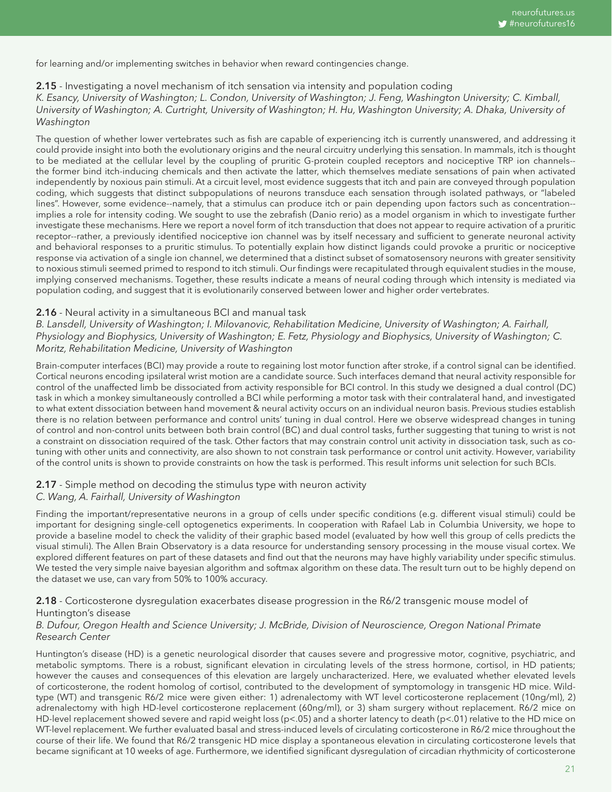for learning and/or implementing switches in behavior when reward contingencies change.

#### 2.15 - Investigating a novel mechanism of itch sensation via intensity and population coding

*K. Esancy, University of Washington; L. Condon, University of Washington; J. Feng, Washington University; C. Kimball, University of Washington; A. Curtright, University of Washington; H. Hu, Washington University; A. Dhaka, University of Washington* 

The question of whether lower vertebrates such as fish are capable of experiencing itch is currently unanswered, and addressing it could provide insight into both the evolutionary origins and the neural circuitry underlying this sensation. In mammals, itch is thought to be mediated at the cellular level by the coupling of pruritic G-protein coupled receptors and nociceptive TRP ion channels- the former bind itch-inducing chemicals and then activate the latter, which themselves mediate sensations of pain when activated independently by noxious pain stimuli. At a circuit level, most evidence suggests that itch and pain are conveyed through population coding, which suggests that distinct subpopulations of neurons transduce each sensation through isolated pathways, or "labeled lines". However, some evidence--namely, that a stimulus can produce itch or pain depending upon factors such as concentration- implies a role for intensity coding. We sought to use the zebrafish (Danio rerio) as a model organism in which to investigate further investigate these mechanisms. Here we report a novel form of itch transduction that does not appear to require activation of a pruritic receptor--rather, a previously identified nociceptive ion channel was by itself necessary and sufficient to generate neuronal activity and behavioral responses to a pruritic stimulus. To potentially explain how distinct ligands could provoke a pruritic or nociceptive response via activation of a single ion channel, we determined that a distinct subset of somatosensory neurons with greater sensitivity to noxious stimuli seemed primed to respond to itch stimuli. Our findings were recapitulated through equivalent studies in the mouse, implying conserved mechanisms. Together, these results indicate a means of neural coding through which intensity is mediated via population coding, and suggest that it is evolutionarily conserved between lower and higher order vertebrates.

#### 2.16 - Neural activity in a simultaneous BCI and manual task

*B. Lansdell, University of Washington; I. Milovanovic, Rehabilitation Medicine, University of Washington; A. Fairhall, Physiology and Biophysics, University of Washington; E. Fetz, Physiology and Biophysics, University of Washington; C. Moritz, Rehabilitation Medicine, University of Washington* 

Brain-computer interfaces (BCI) may provide a route to regaining lost motor function after stroke, if a control signal can be identified. Cortical neurons encoding ipsilateral wrist motion are a candidate source. Such interfaces demand that neural activity responsible for control of the unaffected limb be dissociated from activity responsible for BCI control. In this study we designed a dual control (DC) task in which a monkey simultaneously controlled a BCI while performing a motor task with their contralateral hand, and investigated to what extent dissociation between hand movement & neural activity occurs on an individual neuron basis. Previous studies establish there is no relation between performance and control units' tuning in dual control. Here we observe widespread changes in tuning of control and non-control units between both brain control (BC) and dual control tasks, further suggesting that tuning to wrist is not a constraint on dissociation required of the task. Other factors that may constrain control unit activity in dissociation task, such as cotuning with other units and connectivity, are also shown to not constrain task performance or control unit activity. However, variability of the control units is shown to provide constraints on how the task is performed. This result informs unit selection for such BCIs.

#### 2.17 - Simple method on decoding the stimulus type with neuron activity *C. Wang, A. Fairhall, University of Washington*

Finding the important/representative neurons in a group of cells under specific conditions (e.g. different visual stimuli) could be important for designing single-cell optogenetics experiments. In cooperation with Rafael Lab in Columbia University, we hope to provide a baseline model to check the validity of their graphic based model (evaluated by how well this group of cells predicts the visual stimuli). The Allen Brain Observatory is a data resource for understanding sensory processing in the mouse visual cortex. We explored different features on part of these datasets and find out that the neurons may have highly variability under specific stimulus. We tested the very simple naive bayesian algorithm and softmax algorithm on these data. The result turn out to be highly depend on the dataset we use, can vary from 50% to 100% accuracy.

#### 2.18 - Corticosterone dysregulation exacerbates disease progression in the R6/2 transgenic mouse model of Huntington's disease

#### *B. Dufour, Oregon Health and Science University; J. McBride, Division of Neuroscience, Oregon National Primate Research Center*

Huntington's disease (HD) is a genetic neurological disorder that causes severe and progressive motor, cognitive, psychiatric, and metabolic symptoms. There is a robust, significant elevation in circulating levels of the stress hormone, cortisol, in HD patients; however the causes and consequences of this elevation are largely uncharacterized. Here, we evaluated whether elevated levels of corticosterone, the rodent homolog of cortisol, contributed to the development of symptomology in transgenic HD mice. Wildtype (WT) and transgenic R6/2 mice were given either: 1) adrenalectomy with WT level corticosterone replacement (10ng/ml), 2) adrenalectomy with high HD-level corticosterone replacement (60ng/ml), or 3) sham surgery without replacement. R6/2 mice on HD-level replacement showed severe and rapid weight loss (p<.05) and a shorter latency to death (p<.01) relative to the HD mice on WT-level replacement. We further evaluated basal and stress-induced levels of circulating corticosterone in R6/2 mice throughout the course of their life. We found that R6/2 transgenic HD mice display a spontaneous elevation in circulating corticosterone levels that became significant at 10 weeks of age. Furthermore, we identified significant dysregulation of circadian rhythmicity of corticosterone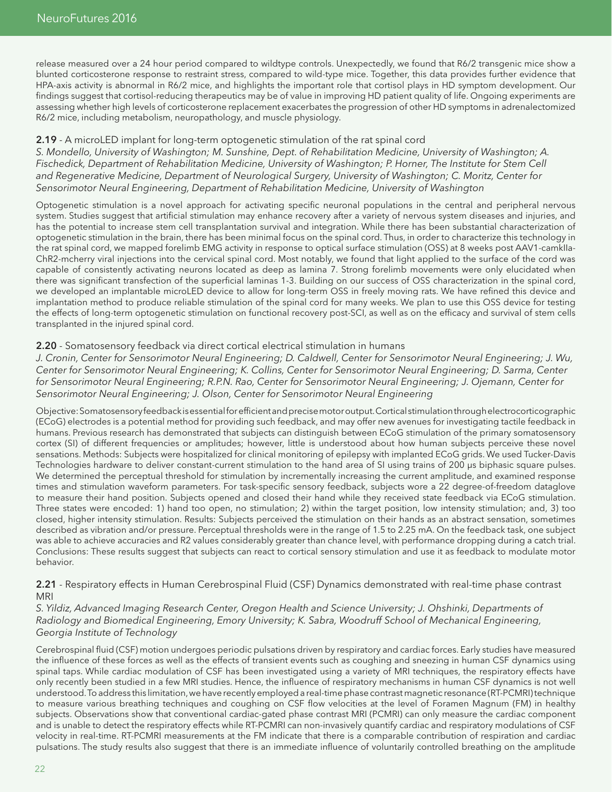release measured over a 24 hour period compared to wildtype controls. Unexpectedly, we found that R6/2 transgenic mice show a blunted corticosterone response to restraint stress, compared to wild-type mice. Together, this data provides further evidence that HPA-axis activity is abnormal in R6/2 mice, and highlights the important role that cortisol plays in HD symptom development. Our findings suggest that cortisol-reducing therapeutics may be of value in improving HD patient quality of life. Ongoing experiments are assessing whether high levels of corticosterone replacement exacerbates the progression of other HD symptoms in adrenalectomized R6/2 mice, including metabolism, neuropathology, and muscle physiology.

#### 2.19 - A microLED implant for long-term optogenetic stimulation of the rat spinal cord

*S. Mondello, University of Washington; M. Sunshine, Dept. of Rehabilitation Medicine, University of Washington; A. Fischedick, Department of Rehabilitation Medicine, University of Washington; P. Horner, The Institute for Stem Cell and Regenerative Medicine, Department of Neurological Surgery, University of Washington; C. Moritz, Center for Sensorimotor Neural Engineering, Department of Rehabilitation Medicine, University of Washington*

Optogenetic stimulation is a novel approach for activating specific neuronal populations in the central and peripheral nervous system. Studies suggest that artificial stimulation may enhance recovery after a variety of nervous system diseases and injuries, and has the potential to increase stem cell transplantation survival and integration. While there has been substantial characterization of optogenetic stimulation in the brain, there has been minimal focus on the spinal cord. Thus, in order to characterize this technology in the rat spinal cord, we mapped forelimb EMG activity in response to optical surface stimulation (OSS) at 8 weeks post AAV1-camkIIa-ChR2-mcherry viral injections into the cervical spinal cord. Most notably, we found that light applied to the surface of the cord was capable of consistently activating neurons located as deep as lamina 7. Strong forelimb movements were only elucidated when there was significant transfection of the superficial laminas 1-3. Building on our success of OSS characterization in the spinal cord, we developed an implantable microLED device to allow for long-term OSS in freely moving rats. We have refined this device and implantation method to produce reliable stimulation of the spinal cord for many weeks. We plan to use this OSS device for testing the effects of long-term optogenetic stimulation on functional recovery post-SCI, as well as on the efficacy and survival of stem cells transplanted in the injured spinal cord.

#### 2.20 - Somatosensory feedback via direct cortical electrical stimulation in humans

*J. Cronin, Center for Sensorimotor Neural Engineering; D. Caldwell, Center for Sensorimotor Neural Engineering; J. Wu, Center for Sensorimotor Neural Engineering; K. Collins, Center for Sensorimotor Neural Engineering; D. Sarma, Center for Sensorimotor Neural Engineering; R.P.N. Rao, Center for Sensorimotor Neural Engineering; J. Ojemann, Center for Sensorimotor Neural Engineering; J. Olson, Center for Sensorimotor Neural Engineering*

Objective: Somatosensory feedback is essential for efficient and precise motor output. Cortical stimulation through electrocorticographic (ECoG) electrodes is a potential method for providing such feedback, and may offer new avenues for investigating tactile feedback in humans. Previous research has demonstrated that subjects can distinguish between ECoG stimulation of the primary somatosensory cortex (SI) of different frequencies or amplitudes; however, little is understood about how human subjects perceive these novel sensations. Methods: Subjects were hospitalized for clinical monitoring of epilepsy with implanted ECoG grids. We used Tucker-Davis Technologies hardware to deliver constant-current stimulation to the hand area of SI using trains of 200 µs biphasic square pulses. We determined the perceptual threshold for stimulation by incrementally increasing the current amplitude, and examined response times and stimulation waveform parameters. For task-specific sensory feedback, subjects wore a 22 degree-of-freedom dataglove to measure their hand position. Subjects opened and closed their hand while they received state feedback via ECoG stimulation. Three states were encoded: 1) hand too open, no stimulation; 2) within the target position, low intensity stimulation; and, 3) too closed, higher intensity stimulation. Results: Subjects perceived the stimulation on their hands as an abstract sensation, sometimes described as vibration and/or pressure. Perceptual thresholds were in the range of 1.5 to 2.25 mA. On the feedback task, one subject was able to achieve accuracies and R2 values considerably greater than chance level, with performance dropping during a catch trial. Conclusions: These results suggest that subjects can react to cortical sensory stimulation and use it as feedback to modulate motor behavior.

#### 2.21 - Respiratory effects in Human Cerebrospinal Fluid (CSF) Dynamics demonstrated with real-time phase contrast MRI

#### *S. Yildiz, Advanced Imaging Research Center, Oregon Health and Science University; J. Ohshinki, Departments of Radiology and Biomedical Engineering, Emory University; K. Sabra, Woodruff School of Mechanical Engineering, Georgia Institute of Technology*

Cerebrospinal fluid (CSF) motion undergoes periodic pulsations driven by respiratory and cardiac forces. Early studies have measured the influence of these forces as well as the effects of transient events such as coughing and sneezing in human CSF dynamics using spinal taps. While cardiac modulation of CSF has been investigated using a variety of MRI techniques, the respiratory effects have only recently been studied in a few MRI studies. Hence, the influence of respiratory mechanisms in human CSF dynamics is not well understood. To address this limitation, we have recently employed a real-time phase contrast magnetic resonance (RT-PCMRI) technique to measure various breathing techniques and coughing on CSF flow velocities at the level of Foramen Magnum (FM) in healthy subjects. Observations show that conventional cardiac-gated phase contrast MRI (PCMRI) can only measure the cardiac component and is unable to detect the respiratory effects while RT-PCMRI can non-invasively quantify cardiac and respiratory modulations of CSF velocity in real-time. RT-PCMRI measurements at the FM indicate that there is a comparable contribution of respiration and cardiac pulsations. The study results also suggest that there is an immediate influence of voluntarily controlled breathing on the amplitude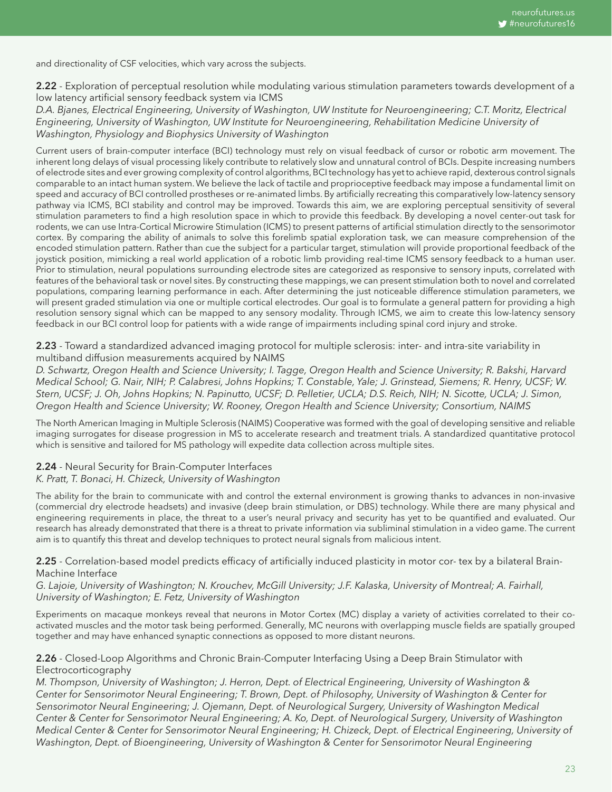and directionality of CSF velocities, which vary across the subjects.

2.22 - Exploration of perceptual resolution while modulating various stimulation parameters towards development of a low latency artificial sensory feedback system via ICMS

*D.A. Bjanes, Electrical Engineering, University of Washington, UW Institute for Neuroengineering; C.T. Moritz, Electrical Engineering, University of Washington, UW Institute for Neuroengineering, Rehabilitation Medicine University of Washington, Physiology and Biophysics University of Washington*

Current users of brain-computer interface (BCI) technology must rely on visual feedback of cursor or robotic arm movement. The inherent long delays of visual processing likely contribute to relatively slow and unnatural control of BCIs. Despite increasing numbers of electrode sites and ever growing complexity of control algorithms, BCI technology has yet to achieve rapid, dexterous control signals comparable to an intact human system. We believe the lack of tactile and proprioceptive feedback may impose a fundamental limit on speed and accuracy of BCI controlled prostheses or re-animated limbs. By artificially recreating this comparatively low-latency sensory pathway via ICMS, BCI stability and control may be improved. Towards this aim, we are exploring perceptual sensitivity of several stimulation parameters to find a high resolution space in which to provide this feedback. By developing a novel center-out task for rodents, we can use Intra-Cortical Microwire Stimulation (ICMS) to present patterns of artificial stimulation directly to the sensorimotor cortex. By comparing the ability of animals to solve this forelimb spatial exploration task, we can measure comprehension of the encoded stimulation pattern. Rather than cue the subject for a particular target, stimulation will provide proportional feedback of the joystick position, mimicking a real world application of a robotic limb providing real-time ICMS sensory feedback to a human user. Prior to stimulation, neural populations surrounding electrode sites are categorized as responsive to sensory inputs, correlated with features of the behavioral task or novel sites. By constructing these mappings, we can present stimulation both to novel and correlated populations, comparing learning performance in each. After determining the just noticeable difference stimulation parameters, we will present graded stimulation via one or multiple cortical electrodes. Our goal is to formulate a general pattern for providing a high resolution sensory signal which can be mapped to any sensory modality. Through ICMS, we aim to create this low-latency sensory feedback in our BCI control loop for patients with a wide range of impairments including spinal cord injury and stroke.

2.23 - Toward a standardized advanced imaging protocol for multiple sclerosis: inter- and intra-site variability in multiband diffusion measurements acquired by NAIMS

*D. Schwartz, Oregon Health and Science University; I. Tagge, Oregon Health and Science University; R. Bakshi, Harvard Medical School; G. Nair, NIH; P. Calabresi, Johns Hopkins; T. Constable, Yale; J. Grinstead, Siemens; R. Henry, UCSF; W. Stern, UCSF; J. Oh, Johns Hopkins; N. Papinutto, UCSF; D. Pelletier, UCLA; D.S. Reich, NIH; N. Sicotte, UCLA; J. Simon, Oregon Health and Science University; W. Rooney, Oregon Health and Science University; Consortium, NAIMS* 

The North American Imaging in Multiple Sclerosis (NAIMS) Cooperative was formed with the goal of developing sensitive and reliable imaging surrogates for disease progression in MS to accelerate research and treatment trials. A standardized quantitative protocol which is sensitive and tailored for MS pathology will expedite data collection across multiple sites.

#### 2.24 - Neural Security for Brain-Computer Interfaces

#### *K. Pratt, T. Bonaci, H. Chizeck, University of Washington*

The ability for the brain to communicate with and control the external environment is growing thanks to advances in non-invasive (commercial dry electrode headsets) and invasive (deep brain stimulation, or DBS) technology. While there are many physical and engineering requirements in place, the threat to a user's neural privacy and security has yet to be quantified and evaluated. Our research has already demonstrated that there is a threat to private information via subliminal stimulation in a video game. The current aim is to quantify this threat and develop techniques to protect neural signals from malicious intent.

2.25 - Correlation-based model predicts efficacy of artificially induced plasticity in motor cor- tex by a bilateral Brain-Machine Interface

*G. Lajoie, University of Washington; N. Krouchev, McGill University; J.F. Kalaska, University of Montreal; A. Fairhall, University of Washington; E. Fetz, University of Washington* 

Experiments on macaque monkeys reveal that neurons in Motor Cortex (MC) display a variety of activities correlated to their coactivated muscles and the motor task being performed. Generally, MC neurons with overlapping muscle fields are spatially grouped together and may have enhanced synaptic connections as opposed to more distant neurons.

#### 2.26 - Closed-Loop Algorithms and Chronic Brain-Computer Interfacing Using a Deep Brain Stimulator with Electrocorticography

*M. Thompson, University of Washington; J. Herron, Dept. of Electrical Engineering, University of Washington & Center for Sensorimotor Neural Engineering; T. Brown, Dept. of Philosophy, University of Washington & Center for Sensorimotor Neural Engineering; J. Ojemann, Dept. of Neurological Surgery, University of Washington Medical Center & Center for Sensorimotor Neural Engineering; A. Ko, Dept. of Neurological Surgery, University of Washington Medical Center & Center for Sensorimotor Neural Engineering; H. Chizeck, Dept. of Electrical Engineering, University of Washington, Dept. of Bioengineering, University of Washington & Center for Sensorimotor Neural Engineering*